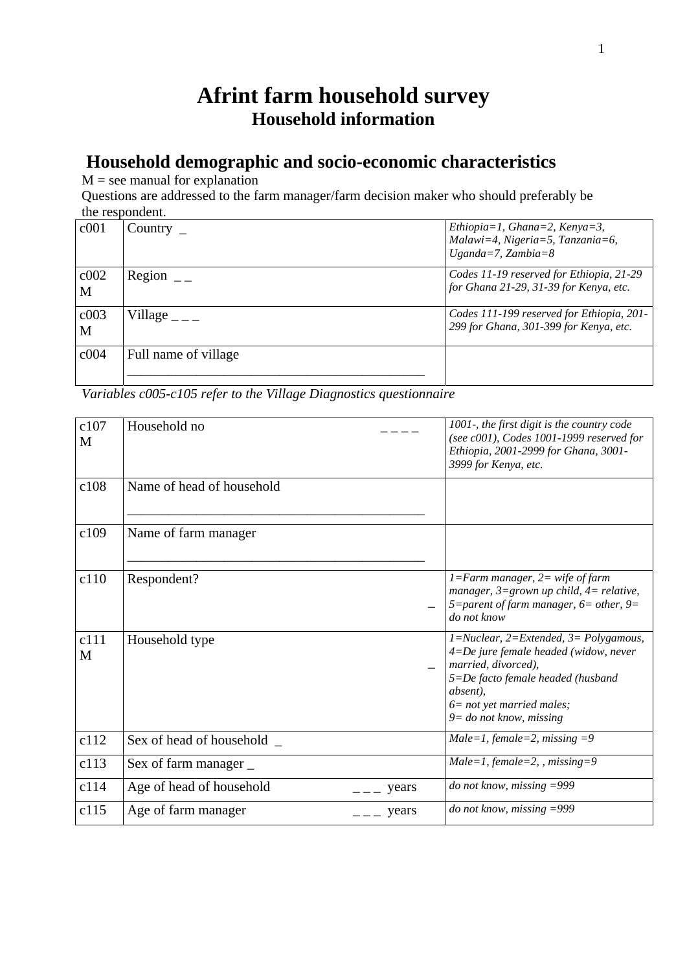# **Afrint farm household survey Household information**

# **Household demographic and socio-economic characteristics**

 $M =$  see manual for explanation

Questions are addressed to the farm manager/farm decision maker who should preferably be the respondent.

| c001                  | Country $\overline{\phantom{a}}$ | Ethiopia=1, Ghana=2, Kenya=3,<br>$Malawi=4$ , Nigeria=5, Tanzania=6,<br>Uganda=7, Zambia=8 |
|-----------------------|----------------------------------|--------------------------------------------------------------------------------------------|
| c002 <br>$\mathbf{M}$ | Region                           | Codes 11-19 reserved for Ethiopia, 21-29<br>for Ghana 21-29, 31-39 for Kenya, etc.         |
| c003<br>$\mathbf{M}$  | Village $_{---}$                 | Codes 111-199 reserved for Ethiopia, 201-<br>299 for Ghana, 301-399 for Kenya, etc.        |
| c004                  | Full name of village             |                                                                                            |

*Variables c005-c105 refer to the Village Diagnostics questionnaire* 

| c107<br>M | Household no                      | 1001-, the first digit is the country code<br>(see c001), Codes 1001-1999 reserved for<br>Ethiopia, 2001-2999 for Ghana, 3001-<br>3999 for Kenya, etc.                                                                                 |
|-----------|-----------------------------------|----------------------------------------------------------------------------------------------------------------------------------------------------------------------------------------------------------------------------------------|
| c108      | Name of head of household         |                                                                                                                                                                                                                                        |
| c109      | Name of farm manager              |                                                                                                                                                                                                                                        |
| c110      | Respondent?                       | $1 = Farm$ manager, $2 =$ wife of farm<br>manager, $3 =$ grown up child, $4 =$ relative,<br>5=parent of farm manager, $6$ = other, $9$ =<br>do not know                                                                                |
| c111<br>M | Household type                    | $1 = Nuclear$ , $2 = Extended$ , $3 = Polygamous$ ,<br>$4 = De$ jure female headed (widow, never<br>married, divorced),<br>5=De facto female headed (husband<br>absent),<br>$6$ = not yet married males;<br>$9 =$ do not know, missing |
| c112      | Sex of head of household _        | Male=1, female=2, missing $=9$                                                                                                                                                                                                         |
| c113      | Sex of farm manager _             | $Male = 1$ , female=2, , missing=9                                                                                                                                                                                                     |
| c114      | Age of head of household<br>years | do not know, missing $=999$                                                                                                                                                                                                            |
| c115      | Age of farm manager<br>years      | do not know, missing $=999$                                                                                                                                                                                                            |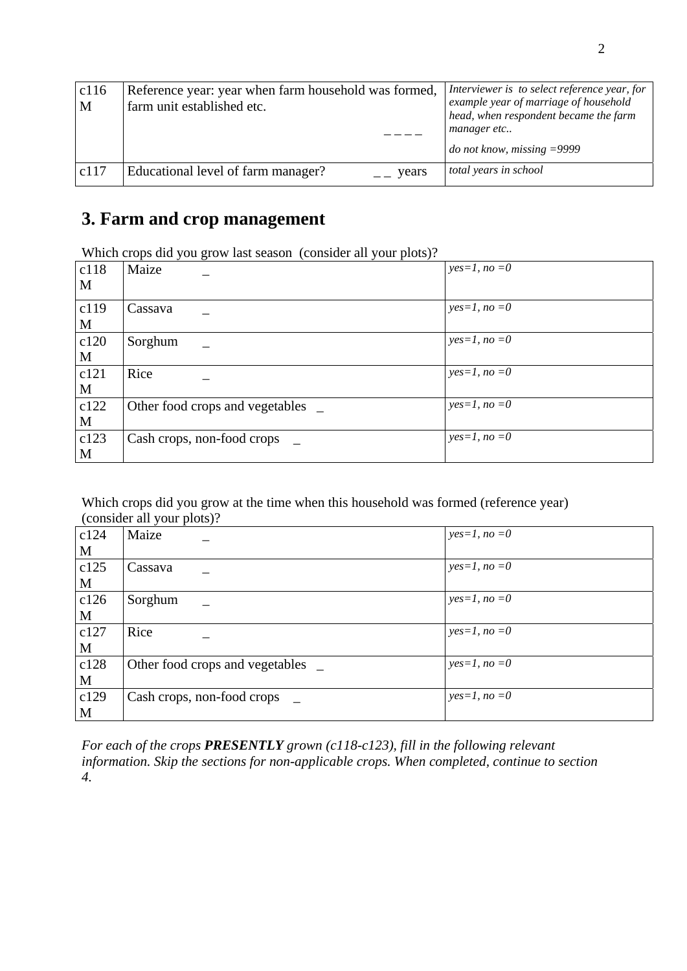| c116<br>M | Reference year: year when farm household was formed,<br>farm unit established etc. | Interviewer is to select reference year, for<br>example year of marriage of household<br>head, when respondent became the farm<br>manager etc<br><i>do not know, missing</i> $=$ 9999 |
|-----------|------------------------------------------------------------------------------------|---------------------------------------------------------------------------------------------------------------------------------------------------------------------------------------|
| c117      | Educational level of farm manager?<br>$\mu$ years                                  | total years in school                                                                                                                                                                 |

# **3. Farm and crop management**

Which crops did you grow last season (consider all your plots)?

| c118<br>M | . .<br>$\lambda$<br>Maize       | $yes=1, no=0$ |
|-----------|---------------------------------|---------------|
| c119<br>M | Cassava                         | $yes=1, no=0$ |
| c120<br>M | Sorghum                         | $yes=1, no=0$ |
| c121<br>M | Rice                            | $yes=1, no=0$ |
| c122<br>M | Other food crops and vegetables | $yes=1, no=0$ |
| c123<br>M | Cash crops, non-food crops      | $yes=1, no=0$ |

Which crops did you grow at the time when this household was formed (reference year) (consider all your plots)?

|      | $J - T - T - T$                 |               |
|------|---------------------------------|---------------|
| c124 | Maize                           | $yes=1, no=0$ |
| M    |                                 |               |
| c125 | Cassava                         | $yes=1, no=0$ |
| M    |                                 |               |
| c126 | Sorghum                         | $yes=1, no=0$ |
| M    |                                 |               |
| c127 | Rice                            | $yes=1, no=0$ |
| M    |                                 |               |
| c128 | Other food crops and vegetables | $yes=1, no=0$ |
| M    |                                 |               |
| c129 | Cash crops, non-food crops      | $yes=1, no=0$ |
| M    |                                 |               |

*For each of the crops PRESENTLY grown (c118-c123), fill in the following relevant information. Skip the sections for non-applicable crops. When completed, continue to section 4.*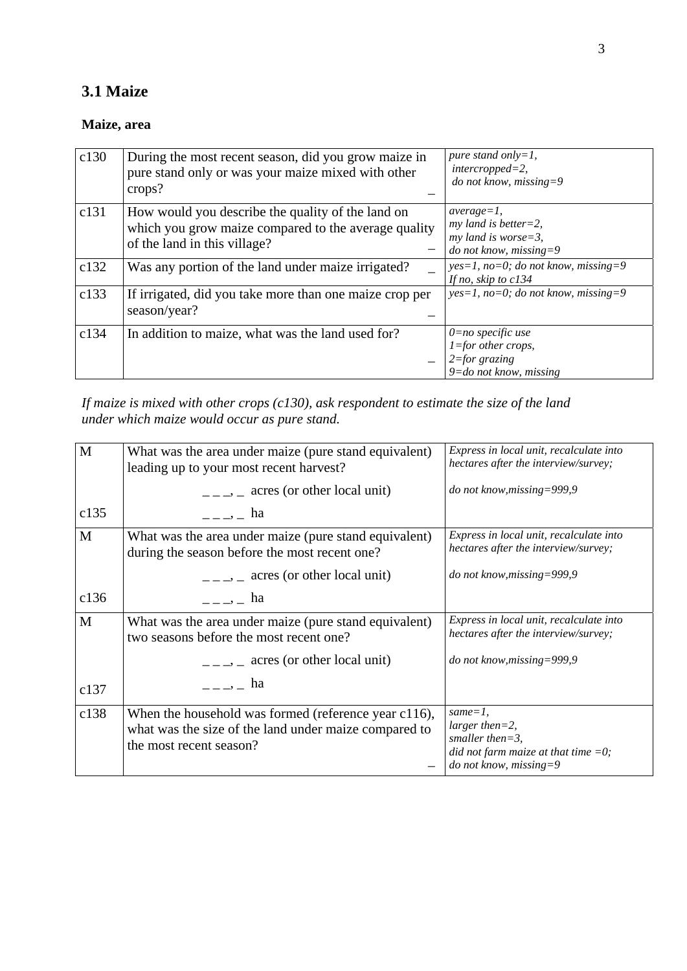## **3.1 Maize**

### **Maize, area**

| c130 | During the most recent season, did you grow maize in<br>pure stand only or was your maize mixed with other<br>crops?                      | pure stand only=1,<br>$interropped=2,$<br>do not know, missing=9                                 |
|------|-------------------------------------------------------------------------------------------------------------------------------------------|--------------------------------------------------------------------------------------------------|
| c131 | How would you describe the quality of the land on<br>which you grow maize compared to the average quality<br>of the land in this village? | $average=1,$<br>$my$ land is better=2,<br>$my$ land is worse=3,<br>do not know, missing=9        |
| c132 | Was any portion of the land under maize irrigated?                                                                                        | $yes=1$ , no=0; do not know, missing=9<br>If no, skip to c134                                    |
| c133 | If irrigated, did you take more than one maize crop per<br>season/year?                                                                   | $yes=1, no=0; do not know, missing=9$                                                            |
| c134 | In addition to maize, what was the land used for?                                                                                         | $0=no$ specific use<br>$1 =$ for other crops,<br>$2 = for$ grazing<br>$9 =$ do not know, missing |

*If maize is mixed with other crops (c130), ask respondent to estimate the size of the land under which maize would occur as pure stand.* 

| M            | What was the area under maize (pure stand equivalent)<br>leading up to your most recent harvest?                                                                                                                                                                                                                    | Express in local unit, recalculate into<br>hectares after the interview/survey;                                               |
|--------------|---------------------------------------------------------------------------------------------------------------------------------------------------------------------------------------------------------------------------------------------------------------------------------------------------------------------|-------------------------------------------------------------------------------------------------------------------------------|
|              | $\frac{1}{1-z}$ acres (or other local unit)                                                                                                                                                                                                                                                                         | do not know, missing=999,9                                                                                                    |
| c135         | $\frac{1}{2}$ = $\frac{1}{2}$ = ha                                                                                                                                                                                                                                                                                  |                                                                                                                               |
| $\mathbf{M}$ | What was the area under maize (pure stand equivalent)<br>during the season before the most recent one?                                                                                                                                                                                                              | Express in local unit, recalculate into<br>hectares after the interview/survey;                                               |
|              | $\frac{1}{1}$ = $\frac{1}{1}$ acres (or other local unit)                                                                                                                                                                                                                                                           | do not know, missing=999,9                                                                                                    |
| c136         | $\frac{1}{2}$ $\frac{1}{2}$ $\frac{1}{2}$ ha                                                                                                                                                                                                                                                                        |                                                                                                                               |
| M            | What was the area under maize (pure stand equivalent)<br>two seasons before the most recent one?                                                                                                                                                                                                                    | Express in local unit, recalculate into<br>hectares after the interview/survey;                                               |
|              | $\frac{1}{1}$ = $\frac{1}{2}$ acres (or other local unit)                                                                                                                                                                                                                                                           | do not know, missing=999,9                                                                                                    |
| c137         | $\frac{1}{2}$ $\frac{1}{2}$ $\frac{1}{2}$ $\frac{1}{2}$ $\frac{1}{2}$ $\frac{1}{2}$ $\frac{1}{2}$ $\frac{1}{2}$ $\frac{1}{2}$ $\frac{1}{2}$ $\frac{1}{2}$ $\frac{1}{2}$ $\frac{1}{2}$ $\frac{1}{2}$ $\frac{1}{2}$ $\frac{1}{2}$ $\frac{1}{2}$ $\frac{1}{2}$ $\frac{1}{2}$ $\frac{1}{2}$ $\frac{1}{2}$ $\frac{1}{2}$ |                                                                                                                               |
| c138         | When the household was formed (reference year c116),<br>what was the size of the land under maize compared to<br>the most recent season?                                                                                                                                                                            | $same = 1$ ,<br>$larger then = 2,$<br>smaller then= $3$ ,<br>did not farm maize at that time $=0$ ;<br>do not know, missing=9 |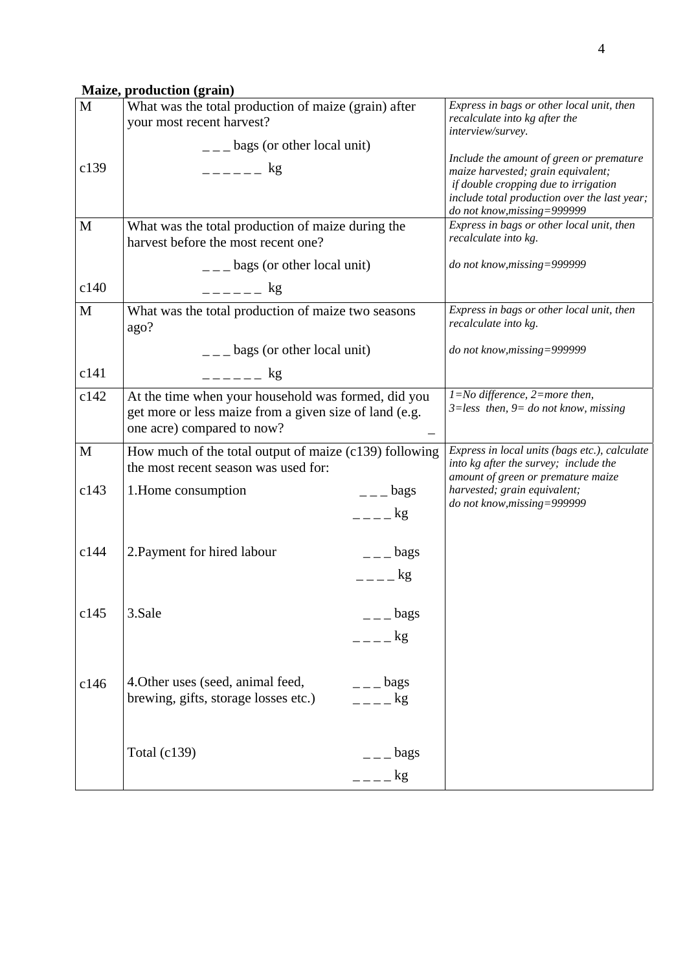## **Maize, production (grain)**

| M           | What was the total production of maize (grain) after<br>your most recent harvest?                                                           | Express in bags or other local unit, then<br>recalculate into kg after the<br>interview/survey.                                                                                                       |
|-------------|---------------------------------------------------------------------------------------------------------------------------------------------|-------------------------------------------------------------------------------------------------------------------------------------------------------------------------------------------------------|
|             | $\frac{1}{2}$ = $\frac{1}{2}$ bags (or other local unit)                                                                                    |                                                                                                                                                                                                       |
| c139        | $-$ - - - - $-$ kg                                                                                                                          | Include the amount of green or premature<br>maize harvested; grain equivalent;<br>if double cropping due to irrigation<br>include total production over the last year;<br>do not know, missing=999999 |
| M           | What was the total production of maize during the<br>harvest before the most recent one?                                                    | Express in bags or other local unit, then<br>recalculate into kg.                                                                                                                                     |
|             | $\frac{1}{2}$ bags (or other local unit)                                                                                                    | do not know, missing=999999                                                                                                                                                                           |
| c140        | $--- $ kg                                                                                                                                   |                                                                                                                                                                                                       |
| $\mathbf M$ | What was the total production of maize two seasons<br>ago?                                                                                  | Express in bags or other local unit, then<br>recalculate into kg.                                                                                                                                     |
|             | $\frac{1}{2}$ = $\frac{1}{2}$ bags (or other local unit)                                                                                    | do not know, missing=999999                                                                                                                                                                           |
| c141        | $--- $                                                                                                                                      |                                                                                                                                                                                                       |
| c142        | At the time when your household was formed, did you<br>get more or less maize from a given size of land (e.g.<br>one acre) compared to now? | $1 = No$ difference, $2 = more$ then,<br>$3 = less$ then, $9 = do$ not know, missing                                                                                                                  |
| M           | How much of the total output of maize (c139) following<br>the most recent season was used for:                                              | Express in local units (bags etc.), calculate<br>into kg after the survey; include the<br>amount of green or premature maize                                                                          |
| c143        | 1. Home consumption<br>$ -$ bags<br>$=-\frac{1}{2}$                                                                                         | harvested; grain equivalent;<br>do not know, missing=999999                                                                                                                                           |
| c144        | 2. Payment for hired labour<br>$=-$ bags<br>$=-\frac{1}{2}$                                                                                 |                                                                                                                                                                                                       |
| c145        | 3.Sale<br>$=$ $-$ bags<br>$=-\frac{1}{2}$                                                                                                   |                                                                                                                                                                                                       |
| c146        | 4. Other uses (seed, animal feed,<br>$ -$ bags<br>brewing, gifts, storage losses etc.)<br>$=-\frac{1}{2}$                                   |                                                                                                                                                                                                       |
|             | Total $(c139)$<br>$=-\frac{1}{2}$ bags<br>$---$ kg                                                                                          |                                                                                                                                                                                                       |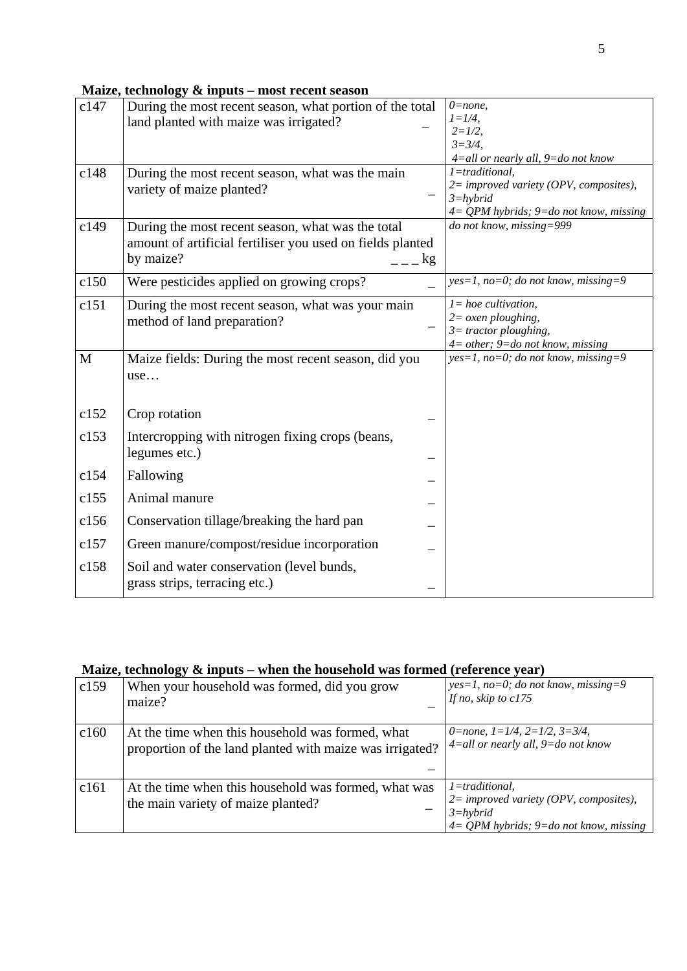|  | Maize, technology & inputs - most recent season |  |
|--|-------------------------------------------------|--|
|  |                                                 |  |

| c147<br>c148 | During the most recent season, what portion of the total<br>land planted with maize was irrigated?<br>During the most recent season, what was the main<br>variety of maize planted? | $0 = none,$<br>$l = l/4$ ,<br>$2 = 1/2$ ,<br>$3 = 3/4$ ,<br>4=all or nearly all, 9=do not know<br>$1 =$ traditional,<br>2= improved variety (OPV, composites),<br>$3 = hybrid$ |
|--------------|-------------------------------------------------------------------------------------------------------------------------------------------------------------------------------------|--------------------------------------------------------------------------------------------------------------------------------------------------------------------------------|
|              |                                                                                                                                                                                     | $4 = QPM$ hybrids; $9 =$ do not know, missing                                                                                                                                  |
| c149         | During the most recent season, what was the total<br>amount of artificial fertiliser you used on fields planted<br>by maize?<br>kg                                                  | do not know, missing=999                                                                                                                                                       |
| c150         | Were pesticides applied on growing crops?                                                                                                                                           | $yes=1, no=0; do not know, missing=9$                                                                                                                                          |
| c151         | During the most recent season, what was your main<br>method of land preparation?                                                                                                    | $l = hoe$ cultivation,<br>$2 = \alpha$ <i>sen ploughing</i> ,<br>$3$ = tractor ploughing,<br>$4 = other$ ; $9 = do not know, missing$                                          |
| M            | Maize fields: During the most recent season, did you<br>use                                                                                                                         | $yes=1$ , no=0; do not know, missing=9                                                                                                                                         |
| c152         | Crop rotation                                                                                                                                                                       |                                                                                                                                                                                |
| c153         | Intercropping with nitrogen fixing crops (beans,<br>legumes etc.)                                                                                                                   |                                                                                                                                                                                |
| c154         | Fallowing                                                                                                                                                                           |                                                                                                                                                                                |
| c155         | Animal manure                                                                                                                                                                       |                                                                                                                                                                                |
| c156         | Conservation tillage/breaking the hard pan                                                                                                                                          |                                                                                                                                                                                |
| c157         | Green manure/compost/residue incorporation                                                                                                                                          |                                                                                                                                                                                |
| c158         | Soil and water conservation (level bunds,<br>grass strips, terracing etc.)                                                                                                          |                                                                                                                                                                                |

| Maize, technology & inputs – when the household was formed (reference year) |  |
|-----------------------------------------------------------------------------|--|
|-----------------------------------------------------------------------------|--|

| c159 | When your household was formed, did you grow<br>maize?                                                       | $yes=1, no=0; do not know, missing=9$<br>If no, skip to $c175$                                                                |
|------|--------------------------------------------------------------------------------------------------------------|-------------------------------------------------------------------------------------------------------------------------------|
| c160 | At the time when this household was formed, what<br>proportion of the land planted with maize was irrigated? | 0=none, $1=1/4$ , $2=1/2$ , $3=3/4$ ,<br>$4 = all$ or nearly all, $9 = do$ not know                                           |
| c161 | At the time when this household was formed, what was<br>the main variety of maize planted?                   | $l = traditional$ ,<br>$2 = improved\ variety(OPV, composites),$<br>$3 = hybrid$<br>$4 = QPM$ hybrids; 9=do not know, missing |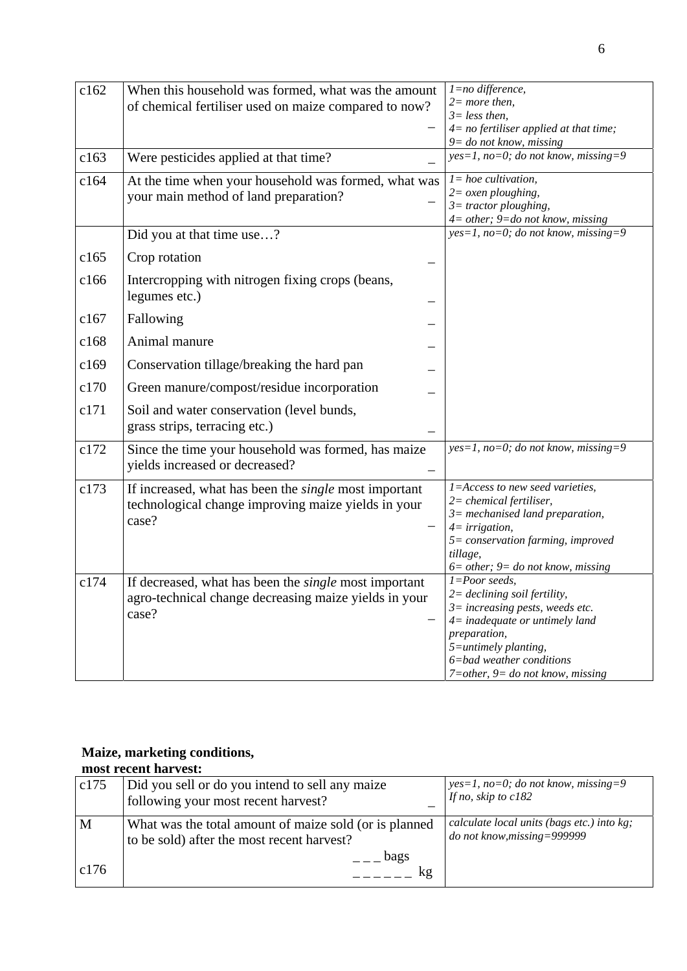| c162 | When this household was formed, what was the amount<br>of chemical fertiliser used on maize compared to now?                   | $l = no$ difference,<br>$2= more then,$<br>$3 = less then$ ,<br>$4=$ no fertiliser applied at that time;<br>$9 =$ do not know, missing                                                                                                                     |
|------|--------------------------------------------------------------------------------------------------------------------------------|------------------------------------------------------------------------------------------------------------------------------------------------------------------------------------------------------------------------------------------------------------|
| c163 | Were pesticides applied at that time?                                                                                          | $yes=1, no=0; do not know, missing=9$                                                                                                                                                                                                                      |
| c164 | At the time when your household was formed, what was<br>your main method of land preparation?                                  | $l = hoe$ cultivation,<br>$2 = \alpha$ <i>sen ploughing</i> ,<br>$3$ = tractor ploughing,<br>$4 = other$ ; $9 = do not know, missing$                                                                                                                      |
|      | Did you at that time use?                                                                                                      | $yes=1$ , no=0; do not know, missing=9                                                                                                                                                                                                                     |
| c165 | Crop rotation                                                                                                                  |                                                                                                                                                                                                                                                            |
| c166 | Intercropping with nitrogen fixing crops (beans,<br>legumes etc.)                                                              |                                                                                                                                                                                                                                                            |
| c167 | Fallowing                                                                                                                      |                                                                                                                                                                                                                                                            |
| c168 | Animal manure                                                                                                                  |                                                                                                                                                                                                                                                            |
| c169 | Conservation tillage/breaking the hard pan                                                                                     |                                                                                                                                                                                                                                                            |
| c170 | Green manure/compost/residue incorporation                                                                                     |                                                                                                                                                                                                                                                            |
| c171 | Soil and water conservation (level bunds,<br>grass strips, terracing etc.)                                                     |                                                                                                                                                                                                                                                            |
| c172 | Since the time your household was formed, has maize<br>yields increased or decreased?                                          | $yes=1, no=0; do not know, missing=9$                                                                                                                                                                                                                      |
| c173 | If increased, what has been the <i>single</i> most important<br>technological change improving maize yields in your<br>case?   | 1=Access to new seed varieties,<br>$2$ = chemical fertiliser,<br>$3$ = mechanised land preparation,<br>$4 = irrigation,$<br>5= conservation farming, improved<br>tillage,<br>$6 = other$ ; $9 = do not know, missing$                                      |
| c174 | If decreased, what has been the <i>single</i> most important<br>agro-technical change decreasing maize yields in your<br>case? | $1 = Poor$ seeds,<br>$2 = \text{declining soil fertility},$<br>$3 = increasing$ pests, weeds etc.<br>$4$ = inadequate or untimely land<br>preparation,<br>$5 =$ untimely planting,<br>6=bad weather conditions<br>$7 = other$ , $9 = do not know, missing$ |

#### **Maize, marketing conditions,**

**most recent harvest:**  c175 Did you sell or do you intend to sell any maize following your most recent harvest? \_ *yes=1, no=0; do not know, missing=9 If no, skip to c182*  M c176 What was the total amount of maize sold (or is planned to be sold) after the most recent harvest?  $=-$  bags  $---$  kg *calculate local units (bags etc.) into kg; do not know,missing=999999*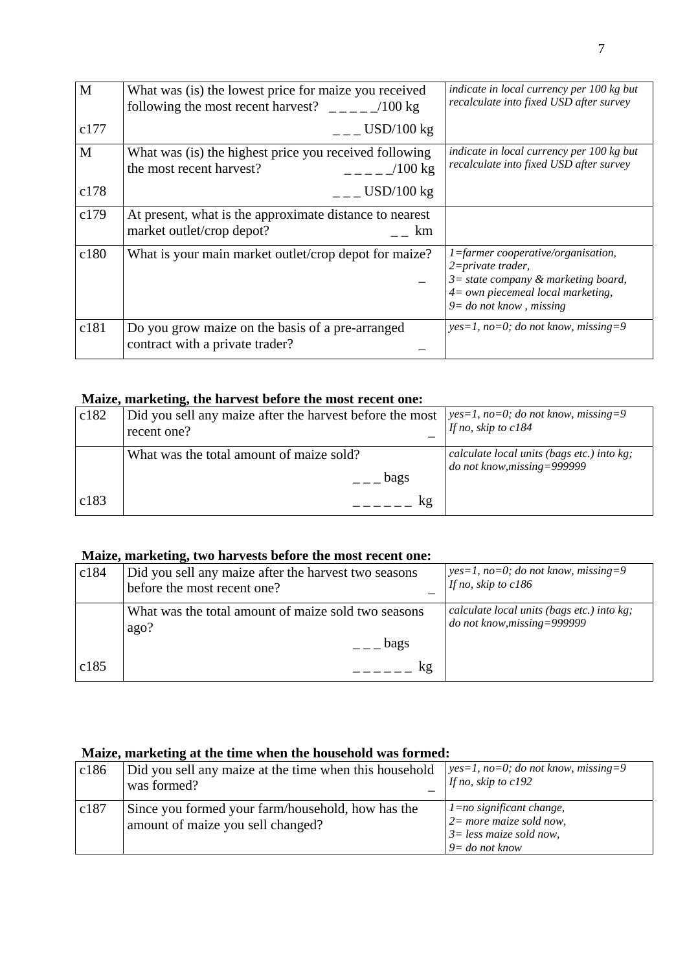| M    | What was (is) the lowest price for maize you received<br>following the most recent harvest? $\angle$ $\angle$ $\angle$ $\angle$ $\angle$ 100 kg | indicate in local currency per 100 kg but<br>recalculate into fixed USD after survey                                                                                  |
|------|-------------------------------------------------------------------------------------------------------------------------------------------------|-----------------------------------------------------------------------------------------------------------------------------------------------------------------------|
| c177 | $\_$ USD/100 kg                                                                                                                                 |                                                                                                                                                                       |
| M    | What was (is) the highest price you received following<br>the most recent harvest?<br>$100 \text{ kg}$                                          | indicate in local currency per 100 kg but<br>recalculate into fixed USD after survey                                                                                  |
| c178 | $L_{\rm{m}}$ USD/100 kg                                                                                                                         |                                                                                                                                                                       |
| c179 | At present, what is the approximate distance to nearest<br>market outlet/crop depot?<br>km                                                      |                                                                                                                                                                       |
| c180 | What is your main market outlet/crop depot for maize?                                                                                           | 1=farmer cooperative/organisation,<br>$2 = private\,$<br>$3 = state company & marketing board,$<br>$4 = own$ piecemeal local marketing,<br>$9 =$ do not know, missing |
| c181 | Do you grow maize on the basis of a pre-arranged<br>contract with a private trader?                                                             | $yes=1$ , no=0; do not know, missing=9                                                                                                                                |

#### **Maize, marketing, the harvest before the most recent one:**

| c182 | Did you sell any maize after the harvest before the most<br>recent one? | $\vert$ yes=1, no=0; do not know, missing=9<br>If no, skip to $c184$      |
|------|-------------------------------------------------------------------------|---------------------------------------------------------------------------|
|      | What was the total amount of maize sold?<br>bags                        | calculate local units (bags etc.) into kg;<br>do not know, missing=999999 |
| c183 | kg                                                                      |                                                                           |

#### **Maize, marketing, two harvests before the most recent one:**

| c184 | Did you sell any maize after the harvest two seasons<br>before the most recent one? | $yes=1, no=0; do not know, missing=9$<br>If no, skip to $c186$            |
|------|-------------------------------------------------------------------------------------|---------------------------------------------------------------------------|
|      | What was the total amount of maize sold two seasons<br>ago?                         | calculate local units (bags etc.) into kg;<br>do not know, missing=999999 |
|      | bags                                                                                |                                                                           |
| c185 | kg                                                                                  |                                                                           |

## **Maize, marketing at the time when the household was formed:**

| c186 | Did you sell any maize at the time when this household<br>was formed?                  | $\vert$ yes=1, no=0; do not know, missing=9<br>If no, skip to $c192$                                                  |
|------|----------------------------------------------------------------------------------------|-----------------------------------------------------------------------------------------------------------------------|
| c187 | Since you formed your farm/household, how has the<br>amount of maize you sell changed? | $\vert$ 1=no significant change,<br>$2 = more maize sold now,$<br>$\beta$ = less maize sold now,<br>$9 = do not know$ |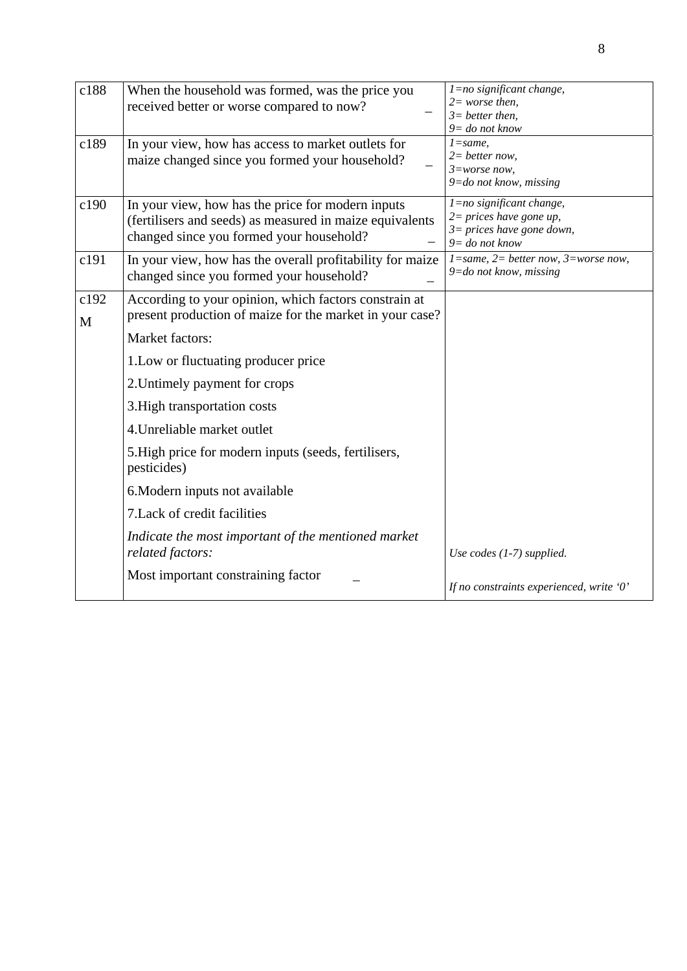| c188      | When the household was formed, was the price you<br>received better or worse compared to now?                                                             | $l = no$ significant change,<br>$2=$ worse then,<br>$3=$ better then,<br>$9 = do not know$                  |
|-----------|-----------------------------------------------------------------------------------------------------------------------------------------------------------|-------------------------------------------------------------------------------------------------------------|
| c189      | In your view, how has access to market outlets for<br>maize changed since you formed your household?                                                      | $l = same$ ,<br>$2=$ better now,<br>$3 = worse now$ ,<br>$9 =$ do not know, missing                         |
| c190      | In your view, how has the price for modern inputs<br>(fertilisers and seeds) as measured in maize equivalents<br>changed since you formed your household? | 1=no significant change,<br>$2 = prices$ have gone up,<br>$3 = prices$ have gone down,<br>$9 = do not know$ |
| c191      | In your view, how has the overall profitability for maize<br>changed since you formed your household?                                                     | $1 = same$ , $2 = better now$ , $3 = worse now$ ,<br>$9 =$ do not know, missing                             |
| c192<br>M | According to your opinion, which factors constrain at<br>present production of maize for the market in your case?                                         |                                                                                                             |
|           | Market factors:                                                                                                                                           |                                                                                                             |
|           | 1. Low or fluctuating producer price                                                                                                                      |                                                                                                             |
|           | 2. Untimely payment for crops                                                                                                                             |                                                                                                             |
|           | 3. High transportation costs                                                                                                                              |                                                                                                             |
|           | 4. Unreliable market outlet                                                                                                                               |                                                                                                             |
|           | 5. High price for modern inputs (seeds, fertilisers,<br>pesticides)                                                                                       |                                                                                                             |
|           | 6. Modern inputs not available                                                                                                                            |                                                                                                             |
|           | 7. Lack of credit facilities                                                                                                                              |                                                                                                             |
|           | Indicate the most important of the mentioned market<br>related factors:                                                                                   | Use codes $(1-7)$ supplied.                                                                                 |
|           | Most important constraining factor                                                                                                                        | If no constraints experienced, write '0'                                                                    |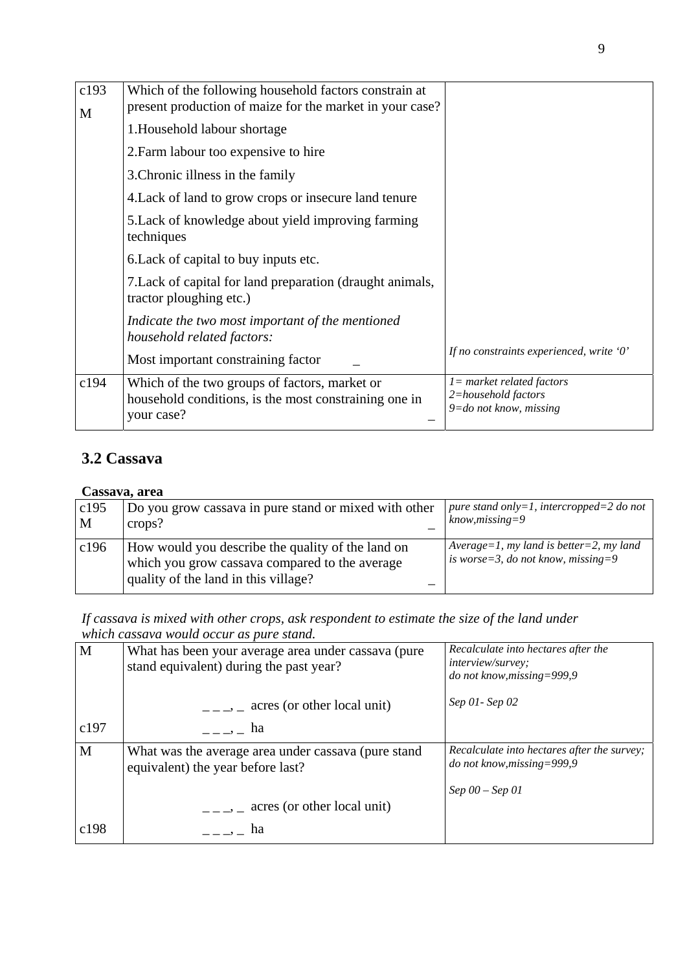| c193<br>M | Which of the following household factors constrain at<br>present production of maize for the market in your case?    |                                                                                   |
|-----------|----------------------------------------------------------------------------------------------------------------------|-----------------------------------------------------------------------------------|
|           | 1. Household labour shortage                                                                                         |                                                                                   |
|           | 2. Farm labour too expensive to hire                                                                                 |                                                                                   |
|           | 3. Chronic illness in the family                                                                                     |                                                                                   |
|           | 4. Lack of land to grow crops or insecure land tenure                                                                |                                                                                   |
|           | 5. Lack of knowledge about yield improving farming<br>techniques                                                     |                                                                                   |
|           | 6. Lack of capital to buy inputs etc.                                                                                |                                                                                   |
|           | 7. Lack of capital for land preparation (draught animals,<br>tractor ploughing etc.)                                 |                                                                                   |
|           | Indicate the two most important of the mentioned<br>household related factors:                                       |                                                                                   |
|           | Most important constraining factor                                                                                   | If no constraints experienced, write '0'                                          |
| c194      | Which of the two groups of factors, market or<br>household conditions, is the most constraining one in<br>your case? | $l = market$ related factors<br>2=household factors<br>$9 =$ do not know, missing |

## **3.2 Cassava**

#### **Cassava, area**

| c195<br>M | Do you grow cassava in pure stand or mixed with other<br>crops?                                                                                  | pure stand only=1, intercropped=2 do not<br>$know, missing = 9$               |  |  |
|-----------|--------------------------------------------------------------------------------------------------------------------------------------------------|-------------------------------------------------------------------------------|--|--|
| c196      | How would you describe the quality of the land on<br>which you grow cassava compared to the average<br>quality of the land in this village?<br>– | Average=1, my land is better=2, my land<br>is worse=3, do not know, missing=9 |  |  |

*If cassava is mixed with other crops, ask respondent to estimate the size of the land under which cassava would occur as pure stand.* 

| $\mathbf{M}$ | What has been your average area under cassava (pure<br>stand equivalent) during the past year? | Recalculate into hectares after the<br><i>interview/survey:</i><br>do not know, missing=999,9 |
|--------------|------------------------------------------------------------------------------------------------|-----------------------------------------------------------------------------------------------|
|              | $\frac{1}{1}$ , acres (or other local unit)                                                    | Sep 01 - Sep 02                                                                               |
| c197         | $\overline{\phantom{a}}$ $\overline{\phantom{a}}$ $\overline{\phantom{a}}$ ha                  |                                                                                               |
| M            | What was the average area under cassava (pure stand<br>equivalent) the year before last?       | <i>Recalculate into hectares after the survey;</i><br>do not know, missing=999,9              |
|              |                                                                                                | $Sep\ 00 - Sep\ 01$                                                                           |
|              | $\frac{1}{2}$ = $\frac{1}{2}$ acres (or other local unit)                                      |                                                                                               |
| c198         | ha                                                                                             |                                                                                               |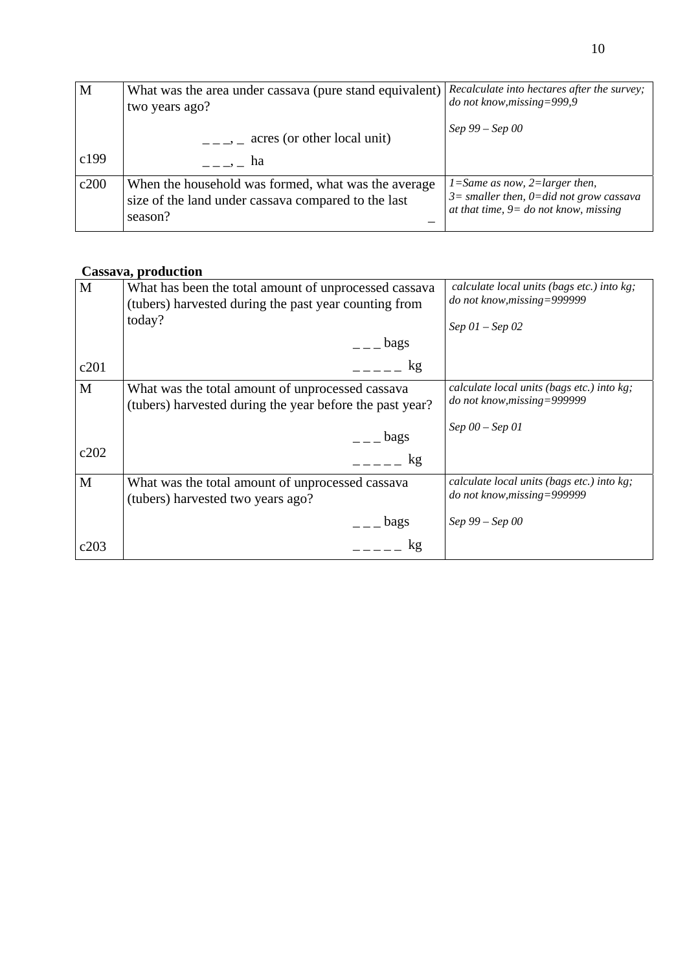| M    | What was the area under cassava (pure stand equivalent)<br>two years ago?                                                    | Recalculate into hectares after the survey;<br>do not know, missing=999,9                                                      |
|------|------------------------------------------------------------------------------------------------------------------------------|--------------------------------------------------------------------------------------------------------------------------------|
| c199 | $\frac{1}{2}$ , acres (or other local unit)<br>$\overline{\phantom{a}}$ $\overline{\phantom{a}}$ $\overline{\phantom{a}}$ ha | Sep 99 – Sep 00                                                                                                                |
| c200 | When the household was formed, what was the average<br>size of the land under cassava compared to the last<br>season?        | $1 = Same$ as now, $2 = larger$ then,<br>$3=$ smaller then, 0=did not grow cassava<br>at that time, $9 = do$ not know, missing |

### **Cassava, production**

| M    | What has been the total amount of unprocessed cassava<br>(tubers) harvested during the past year counting from<br>today?                                                                                                                                                                                                                     | calculate local units (bags etc.) into kg;<br>do not know, missing=999999<br>$Sep\;01-Sep\;02$ |
|------|----------------------------------------------------------------------------------------------------------------------------------------------------------------------------------------------------------------------------------------------------------------------------------------------------------------------------------------------|------------------------------------------------------------------------------------------------|
|      | $\qquad$ $\qquad$ $\qquad$ $\qquad$ $\qquad$ $\qquad$ $\qquad$ $\qquad$ $\qquad$ $\qquad$ $\qquad$ $\qquad$ $\qquad$ $\qquad$ $\qquad$ $\qquad$ $\qquad$ $\qquad$ $\qquad$ $\qquad$ $\qquad$ $\qquad$ $\qquad$ $\qquad$ $\qquad$ $\qquad$ $\qquad$ $\qquad$ $\qquad$ $\qquad$ $\qquad$ $\qquad$ $\qquad$ $\qquad$ $\qquad$ $\qquad$ $\qquad$ |                                                                                                |
| c201 | kg                                                                                                                                                                                                                                                                                                                                           |                                                                                                |
| M    | What was the total amount of unprocessed cassava<br>(tubers) harvested during the year before the past year?                                                                                                                                                                                                                                 | calculate local units (bags etc.) into kg;<br>do not know, missing=999999                      |
|      | $\overline{-}$ bags                                                                                                                                                                                                                                                                                                                          | $Sep\ 00 - Sep\ 01$                                                                            |
| c202 | kg                                                                                                                                                                                                                                                                                                                                           |                                                                                                |
| M    | What was the total amount of unprocessed cassava<br>(tubers) harvested two years ago?                                                                                                                                                                                                                                                        | calculate local units (bags etc.) into kg;<br>do not know, missing=999999                      |
|      | $\epsilon$ $\epsilon$ $\epsilon$ $\epsilon$ $\epsilon$                                                                                                                                                                                                                                                                                       | Sep 99 – Sep 00                                                                                |
| c203 | kg                                                                                                                                                                                                                                                                                                                                           |                                                                                                |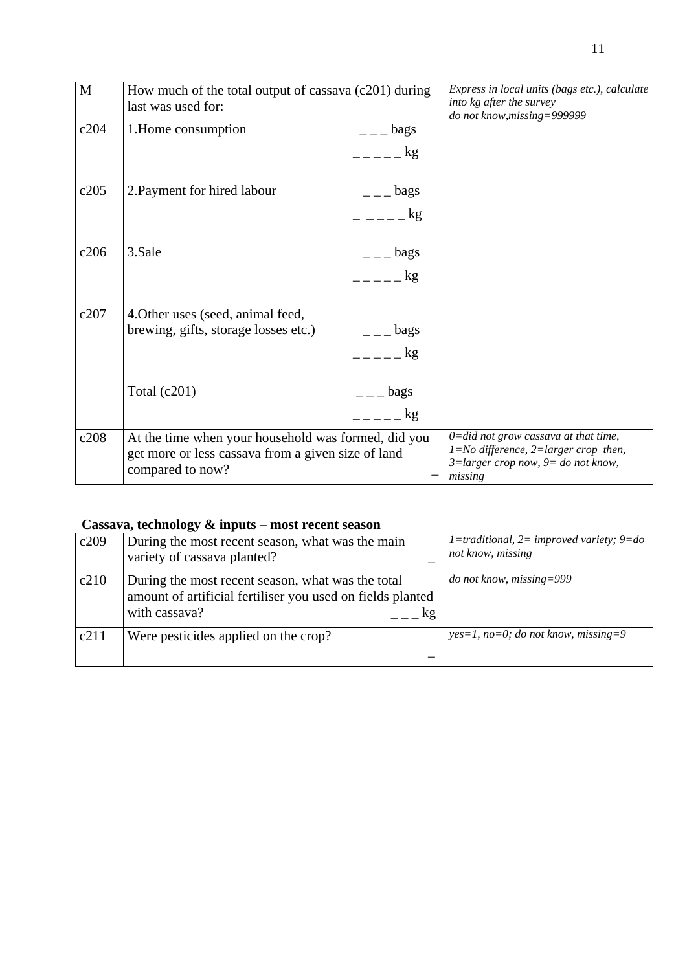| How much of the total output of cassava (c201) during<br>last was used for:                                                   |                    | Express in local units (bags etc.), calculate<br>into kg after the survey<br>do not know, missing=999999                                         |
|-------------------------------------------------------------------------------------------------------------------------------|--------------------|--------------------------------------------------------------------------------------------------------------------------------------------------|
| 1. Home consumption                                                                                                           | $ -$ bags          |                                                                                                                                                  |
|                                                                                                                               | $=-   \frac{1}{2}$ |                                                                                                                                                  |
| 2. Payment for hired labour                                                                                                   | $ -$ bags          |                                                                                                                                                  |
|                                                                                                                               | $    \frac{1}{2}$  |                                                                                                                                                  |
| 3.Sale                                                                                                                        | $  \log$ s         |                                                                                                                                                  |
|                                                                                                                               | $=-   \frac{1}{2}$ |                                                                                                                                                  |
| 4. Other uses (seed, animal feed,                                                                                             |                    |                                                                                                                                                  |
| brewing, gifts, storage losses etc.)                                                                                          | $  -$ bags         |                                                                                                                                                  |
|                                                                                                                               | $=- - - \log$      |                                                                                                                                                  |
| Total $(c201)$                                                                                                                | $  -$ bags         |                                                                                                                                                  |
|                                                                                                                               | $\mathbf{g}$       |                                                                                                                                                  |
| At the time when your household was formed, did you<br>get more or less cassava from a given size of land<br>compared to now? |                    | $0 = did not grow$ cassava at that time,<br>$1 = No$ difference, $2 = larger$ crop then,<br>$3 = larger$ crop now, $9 = do$ not know,<br>missing |
|                                                                                                                               |                    |                                                                                                                                                  |

#### **Cassava, technology & inputs – most recent season**

| c209 | During the most recent season, what was the main<br>variety of cassava planted?                                                        | 1=traditional, 2= improved variety; $9 = do$<br>not know, missing |
|------|----------------------------------------------------------------------------------------------------------------------------------------|-------------------------------------------------------------------|
| c210 | During the most recent season, what was the total<br>amount of artificial fertiliser you used on fields planted<br>with cassava?<br>kg | <i>do not know, missing=999</i>                                   |
| c211 | Were pesticides applied on the crop?                                                                                                   | $yes=1, no=0; do not know, missing=9$                             |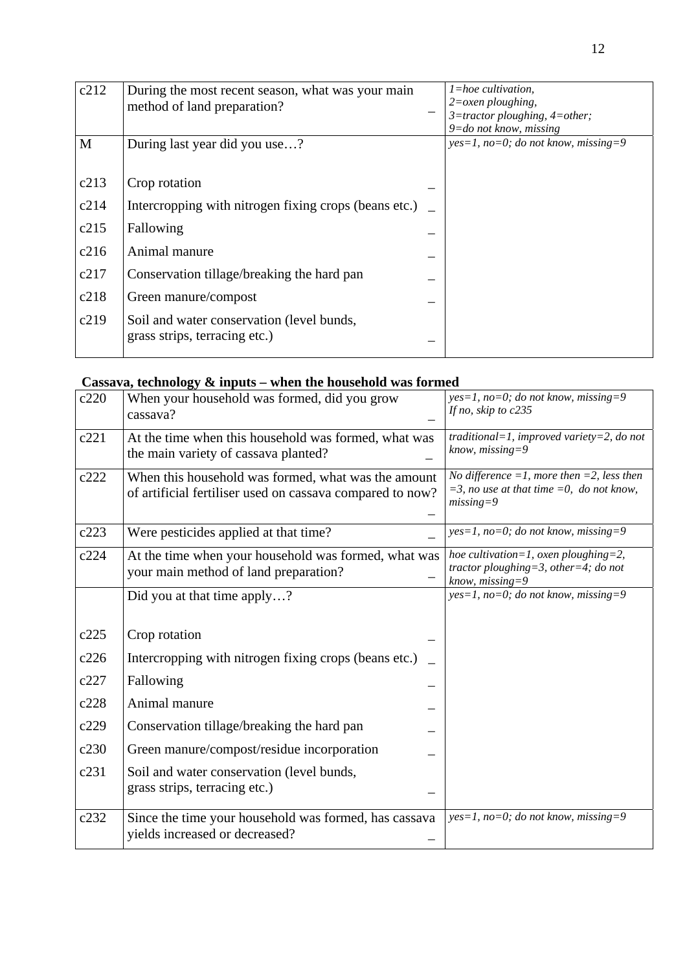| c212 | During the most recent season, what was your main<br>method of land preparation? | $l = hoe$ cultivation,<br>$2 = \alpha$ <i>zen ploughing</i> ,<br>$3 =$ tractor ploughing, $4 =$ other;<br>$9 =$ do not know, missing |
|------|----------------------------------------------------------------------------------|--------------------------------------------------------------------------------------------------------------------------------------|
| M    | During last year did you use?                                                    | $yes=1, no=0; do not know, missing=9$                                                                                                |
| c213 | Crop rotation                                                                    |                                                                                                                                      |
| c214 | Intercropping with nitrogen fixing crops (beans etc.)                            |                                                                                                                                      |
| c215 | Fallowing                                                                        |                                                                                                                                      |
| c216 | Animal manure                                                                    |                                                                                                                                      |
| c217 | Conservation tillage/breaking the hard pan                                       |                                                                                                                                      |
| c218 | Green manure/compost                                                             |                                                                                                                                      |
| c219 | Soil and water conservation (level bunds,<br>grass strips, terracing etc.)       |                                                                                                                                      |

### **Cassava, technology & inputs – when the household was formed**

| c220 | When your household was formed, did you grow<br>cassava?                                                         | $yes=1$ , no=0; do not know, missing=9<br>If no, skip to c235                                                      |
|------|------------------------------------------------------------------------------------------------------------------|--------------------------------------------------------------------------------------------------------------------|
| c221 | At the time when this household was formed, what was<br>the main variety of cassava planted?                     | traditional=1, improved variety=2, do not<br>$know, missing = 9$                                                   |
| c222 | When this household was formed, what was the amount<br>of artificial fertiliser used on cassava compared to now? | No difference $=1$ , more then $=2$ , less then<br>$=$ 3, no use at that time $=$ 0, do not know,<br>$missing = 9$ |
| c223 | Were pesticides applied at that time?                                                                            | $yes=1$ , no=0; do not know, missing=9                                                                             |
| c224 | At the time when your household was formed, what was<br>your main method of land preparation?                    | hoe cultivation=1, oxen ploughing=2,<br>tractor ploughing=3, other=4; do not<br>$know, missing = 9$                |
|      | Did you at that time apply?                                                                                      | $yes=1$ , no=0; do not know, missing=9                                                                             |
| c225 | Crop rotation                                                                                                    |                                                                                                                    |
| c226 | Intercropping with nitrogen fixing crops (beans etc.)                                                            |                                                                                                                    |
| c227 | Fallowing                                                                                                        |                                                                                                                    |
| c228 | Animal manure                                                                                                    |                                                                                                                    |
| c229 | Conservation tillage/breaking the hard pan                                                                       |                                                                                                                    |
| c230 | Green manure/compost/residue incorporation                                                                       |                                                                                                                    |
| c231 | Soil and water conservation (level bunds,<br>grass strips, terracing etc.)                                       |                                                                                                                    |
| c232 | Since the time your household was formed, has cassava<br>yields increased or decreased?                          | $yes=1$ , no=0; do not know, missing=9                                                                             |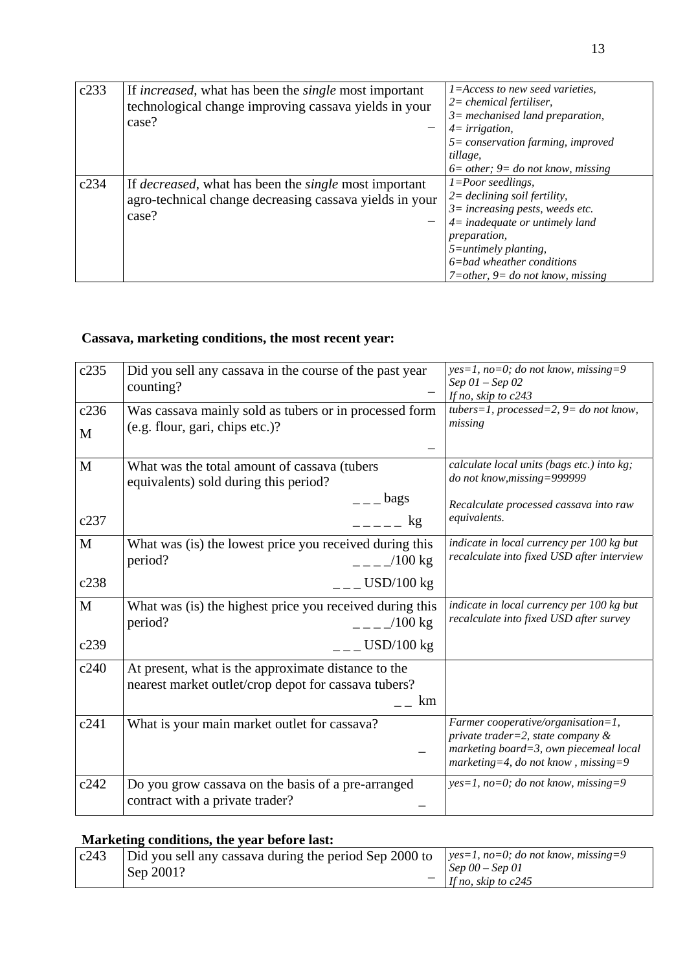| c233 | If <i>increased</i> , what has been the <i>single</i> most important<br>technological change improving cassava yields in your<br>case?   | $1 = Access$ to new seed varieties,<br>$2=$ chemical fertiliser,<br>$3=$ mechanised land preparation,<br>$4=irrigation,$<br>$5 = conservation$ farming, improved<br>tillage,<br>$6=$ other; 9= do not know, missing                                                        |
|------|------------------------------------------------------------------------------------------------------------------------------------------|----------------------------------------------------------------------------------------------------------------------------------------------------------------------------------------------------------------------------------------------------------------------------|
| c234 | If <i>decreased</i> , what has been the <i>single</i> most important<br>agro-technical change decreasing cassava yields in your<br>case? | $1 = Poor$ seedlings,<br>$2 = \text{declining soil fertility},$<br>$3 = increasing$ pests, weeds etc.<br>$4$ = inadequate or untimely land<br><i>preparation,</i><br>$5 =$ untimely planting,<br>$6 = bad$ wheather conditions<br>$7 = other$ , $9 = do not know, missing$ |

# **Cassava, marketing conditions, the most recent year:**

| c235 | Did you sell any cassava in the course of the past year                                                           | $yes=1$ , no=0; do not know, missing=9                                                                                                                      |
|------|-------------------------------------------------------------------------------------------------------------------|-------------------------------------------------------------------------------------------------------------------------------------------------------------|
|      | counting?                                                                                                         | Sep $01$ – Sep $02$<br>If no, skip to c243                                                                                                                  |
| c236 | Was cassava mainly sold as tubers or in processed form                                                            | tubers=1, processed=2, $9 =$ do not know,                                                                                                                   |
| M    | (e.g. flour, gari, chips etc.)?                                                                                   | missing                                                                                                                                                     |
|      |                                                                                                                   |                                                                                                                                                             |
| M    | What was the total amount of cassava (tubers<br>equivalents) sold during this period?                             | calculate local units (bags etc.) into kg;<br>do not know, missing=999999                                                                                   |
|      | $=-$ bags                                                                                                         | Recalculate processed cassava into raw                                                                                                                      |
| c237 | $---$ kg                                                                                                          | equivalents.                                                                                                                                                |
| M    | What was (is) the lowest price you received during this<br>$-$ - $ /100$ kg<br>period?                            | indicate in local currency per 100 kg but<br>recalculate into fixed USD after interview                                                                     |
| c238 | $ -$ USD/100 kg                                                                                                   |                                                                                                                                                             |
| M    | What was (is) the highest price you received during this<br>$=-\frac{100 \text{ kg}}{2}$<br>period?               | indicate in local currency per 100 kg but<br>recalculate into fixed USD after survey                                                                        |
| c239 | $ -$ USD/100 kg                                                                                                   |                                                                                                                                                             |
| c240 | At present, what is the approximate distance to the<br>nearest market outlet/crop depot for cassava tubers?<br>km |                                                                                                                                                             |
| c241 | What is your main market outlet for cassava?                                                                      | Farmer cooperative/organisation=1,<br>private trader=2, state company $\&$<br>marketing board=3, own piecemeal local<br>marketing=4, do not know, missing=9 |
| c242 | Do you grow cassava on the basis of a pre-arranged<br>contract with a private trader?                             | $yes=1$ , no=0; do not know, missing=9                                                                                                                      |

#### **Marketing conditions, the year before last:**

| c243 | Did you sell any cassava during the period Sep 2000 to | $ ves=1, no=0; do not know, missing=9$ |
|------|--------------------------------------------------------|----------------------------------------|
|      | Sep 2001?                                              | $\vert$ Sep 00 – Sep 01                |
|      |                                                        | If no, skip to $c245$                  |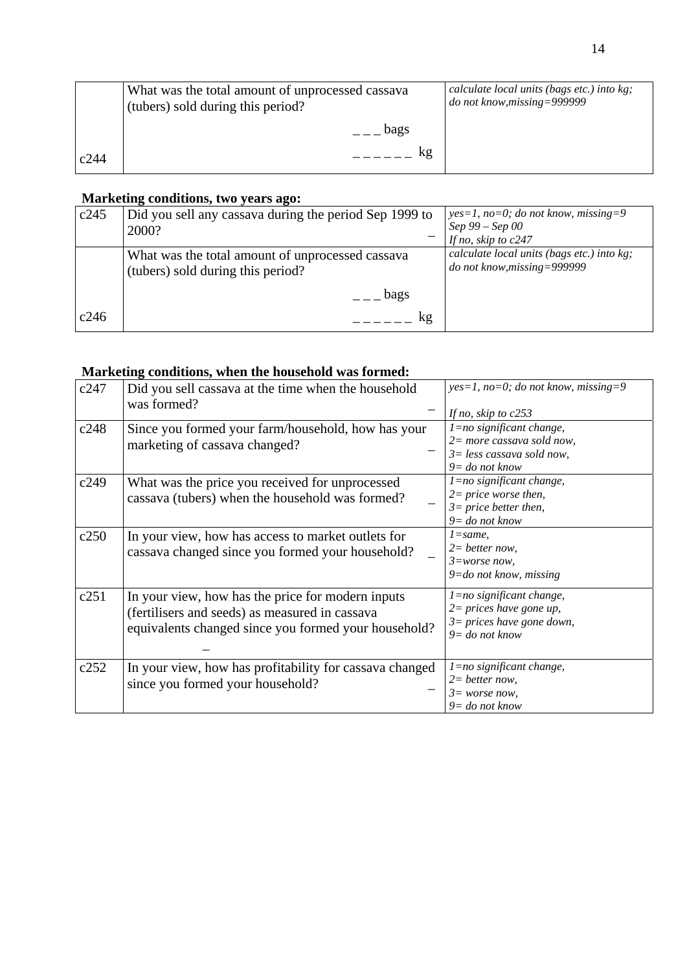|      | What was the total amount of unprocessed cassava<br>(tubers) sold during this period? | calculate local units (bags etc.) into kg;<br>do not know, missing=999999 |
|------|---------------------------------------------------------------------------------------|---------------------------------------------------------------------------|
|      | bags                                                                                  |                                                                           |
| c244 |                                                                                       |                                                                           |

#### **Marketing conditions, two years ago:**

| c245 | Did you sell any cassava during the period Sep 1999 to                                | $yes=1$ , no=0; do not know, missing=9                                    |
|------|---------------------------------------------------------------------------------------|---------------------------------------------------------------------------|
|      | 2000?                                                                                 | Sep 99 – Sep 00                                                           |
|      |                                                                                       | If no, skip to c247                                                       |
|      | What was the total amount of unprocessed cassava<br>(tubers) sold during this period? | calculate local units (bags etc.) into kg;<br>do not know, missing=999999 |
|      | bags                                                                                  |                                                                           |
| c246 | kg                                                                                    |                                                                           |

#### **Marketing conditions, when the household was formed:**

| c247 | Did you sell cassava at the time when the household<br>was formed?                                                                                          | $yes=1, no=0; do not know, missing=9$<br>If no, skip to $c253$                                                  |
|------|-------------------------------------------------------------------------------------------------------------------------------------------------------------|-----------------------------------------------------------------------------------------------------------------|
| c248 | Since you formed your farm/household, how has your<br>marketing of cassava changed?                                                                         | 1=no significant change,<br>$2=$ more cassava sold now,<br>$3 = less$ cassava sold now,<br>$9 =$ do not know    |
| c249 | What was the price you received for unprocessed<br>cassava (tubers) when the household was formed?                                                          | 1=no significant change,<br>$2 = price$ worse then,<br>$3 = price better then,$<br>$9 = do not know$            |
| c250 | In your view, how has access to market outlets for<br>cassava changed since you formed your household?                                                      | $l = same$ .<br>$2=$ better now,<br>$3 = worse now$ ,<br>$9 =$ do not know, missing                             |
| c251 | In your view, how has the price for modern inputs<br>(fertilisers and seeds) as measured in cassava<br>equivalents changed since you formed your household? | $l = no$ significant change,<br>$2 = prices$ have gone up,<br>$3 = prices$ have gone down,<br>$9 =$ do not know |
| c252 | In your view, how has profitability for cassava changed<br>since you formed your household?                                                                 | 1=no significant change,<br>$2= better now,$<br>$3 = worse now$ ,<br>$9 =$ do not know                          |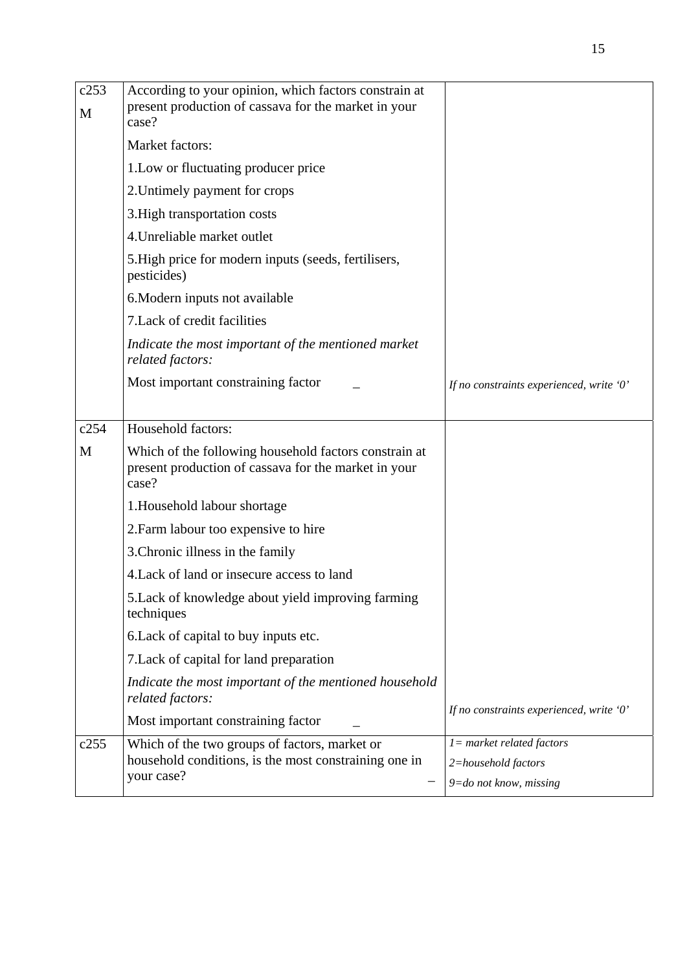| c253<br>M | According to your opinion, which factors constrain at<br>present production of cassava for the market in your<br>case? |                                          |
|-----------|------------------------------------------------------------------------------------------------------------------------|------------------------------------------|
|           | Market factors:                                                                                                        |                                          |
|           | 1.Low or fluctuating producer price                                                                                    |                                          |
|           | 2. Untimely payment for crops                                                                                          |                                          |
|           | 3. High transportation costs                                                                                           |                                          |
|           | 4. Unreliable market outlet                                                                                            |                                          |
|           | 5. High price for modern inputs (seeds, fertilisers,<br>pesticides)                                                    |                                          |
|           | 6. Modern inputs not available                                                                                         |                                          |
|           | 7. Lack of credit facilities                                                                                           |                                          |
|           | Indicate the most important of the mentioned market<br>related factors:                                                |                                          |
|           | Most important constraining factor                                                                                     | If no constraints experienced, write '0' |
| c254      | Household factors:                                                                                                     |                                          |
| M         | Which of the following household factors constrain at<br>present production of cassava for the market in your<br>case? |                                          |
|           | 1. Household labour shortage                                                                                           |                                          |
|           | 2. Farm labour too expensive to hire                                                                                   |                                          |
|           | 3. Chronic illness in the family                                                                                       |                                          |
|           | 4. Lack of land or insecure access to land                                                                             |                                          |
|           | 5. Lack of knowledge about yield improving farming<br>techniques                                                       |                                          |
|           | 6. Lack of capital to buy inputs etc.                                                                                  |                                          |
|           | 7. Lack of capital for land preparation                                                                                |                                          |
|           | Indicate the most important of the mentioned household<br>related factors:                                             |                                          |
|           | Most important constraining factor                                                                                     | If no constraints experienced, write '0' |
| c255      | Which of the two groups of factors, market or                                                                          | $l = market$ related factors             |
|           | household conditions, is the most constraining one in                                                                  | 2=household factors                      |
|           | your case?                                                                                                             | $9 =$ do not know, missing               |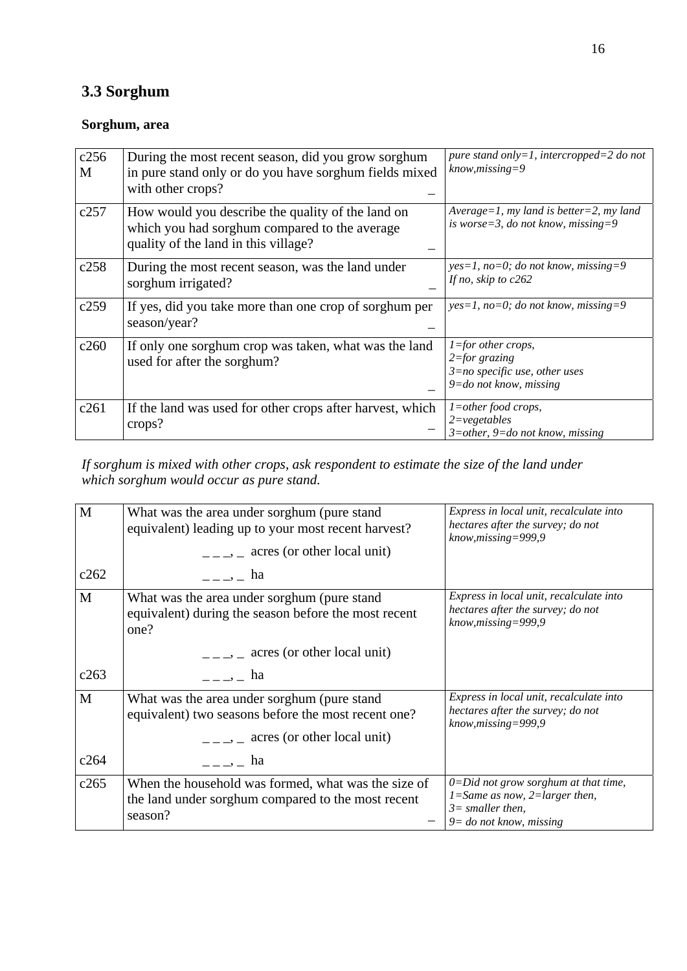# **3.3 Sorghum**

### **Sorghum, area**

| c256<br>M | During the most recent season, did you grow sorghum<br>in pure stand only or do you have sorghum fields mixed<br>with other crops?         | pure stand only=1, intercropped=2 do not<br>$know, missing = 9$                                               |
|-----------|--------------------------------------------------------------------------------------------------------------------------------------------|---------------------------------------------------------------------------------------------------------------|
| c257      | How would you describe the quality of the land on<br>which you had sorghum compared to the average<br>quality of the land in this village? | Average=1, my land is better=2, my land<br>is worse=3, do not know, missing=9                                 |
| c258      | During the most recent season, was the land under<br>sorghum irrigated?                                                                    | $yes=1$ , no=0; do not know, missing=9<br>If no, skip to $c262$                                               |
| c259      | If yes, did you take more than one crop of sorghum per<br>season/year?                                                                     | $yes=1, no=0; do not know, missing=9$                                                                         |
| c260      | If only one sorghum crop was taken, what was the land<br>used for after the sorghum?                                                       | $1 =$ for other crops,<br>$2 = for$ grazing<br>$3=$ no specific use, other uses<br>$9 =$ do not know, missing |
| c261      | If the land was used for other crops after harvest, which<br>crops?                                                                        | $1$ =other food crops,<br>$2 = vegetables$<br>$3$ =other, 9=do not know, missing                              |

#### *If sorghum is mixed with other crops, ask respondent to estimate the size of the land under which sorghum would occur as pure stand.*

| $\mathbf{M}$ | What was the area under sorghum (pure stand<br>equivalent) leading up to your most recent harvest?<br>$\frac{1}{2}$ , acres (or other local unit) | Express in local unit, recalculate into<br>hectares after the survey; do not<br>$know, missing = 999, 9$                              |
|--------------|---------------------------------------------------------------------------------------------------------------------------------------------------|---------------------------------------------------------------------------------------------------------------------------------------|
| c262         | $\frac{1}{2}$ = $\frac{1}{2}$ = ha                                                                                                                |                                                                                                                                       |
| $\mathbf{M}$ | What was the area under sorghum (pure stand<br>equivalent) during the season before the most recent<br>one?                                       | Express in local unit, recalculate into<br>hectares after the survey; do not<br>$know, missing = 999, 9$                              |
|              | acres (or other local unit)<br>$---$                                                                                                              |                                                                                                                                       |
| c263         | ha ba                                                                                                                                             |                                                                                                                                       |
| $\mathbf{M}$ | What was the area under sorghum (pure stand<br>equivalent) two seasons before the most recent one?<br>$\frac{1}{1}$ , acres (or other local unit) | Express in local unit, recalculate into<br>hectares after the survey; do not<br>$know, missing = 999, 9$                              |
| c264         | $\frac{1}{2}$ $\frac{1}{2}$ $\frac{1}{2}$ $\frac{1}{2}$ $\frac{1}{2}$ $\frac{1}{2}$ $\frac{1}{2}$ $\frac{1}{2}$ $\frac{1}{2}$ $\frac{1}{2}$       |                                                                                                                                       |
| c265         | When the household was formed, what was the size of<br>the land under sorghum compared to the most recent<br>season?                              | $0 = Did$ not grow sorghum at that time,<br>$1 = Same$ as now, $2 = larger$ then,<br>$3=$ smaller then,<br>$9 =$ do not know, missing |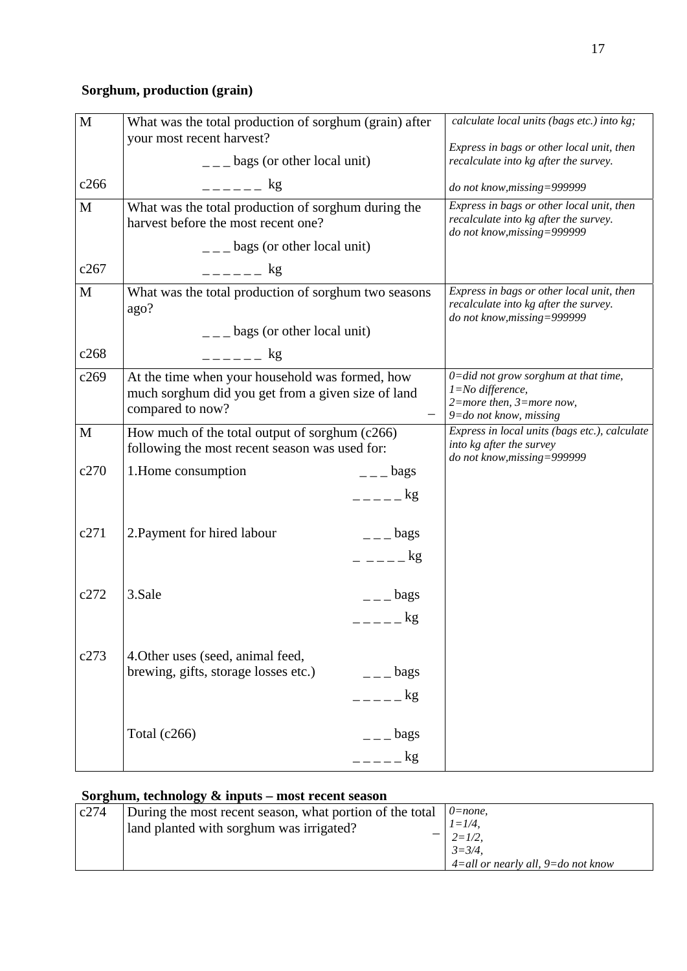# **Sorghum, production (grain)**

| $\mathbf{M}$ | What was the total production of sorghum (grain) after<br>your most recent harvest?                                       |                 | calculate local units (bags etc.) into kg;<br>Express in bags or other local unit, then                                          |
|--------------|---------------------------------------------------------------------------------------------------------------------------|-----------------|----------------------------------------------------------------------------------------------------------------------------------|
|              | $\frac{1}{1}$ – $\frac{1}{2}$ bags (or other local unit)                                                                  |                 | recalculate into kg after the survey.                                                                                            |
| c266         | $-$ - - - - $-$ kg                                                                                                        |                 | do not know, missing=999999                                                                                                      |
| M            | What was the total production of sorghum during the<br>harvest before the most recent one?                                |                 | Express in bags or other local unit, then<br>recalculate into kg after the survey.<br>do not know, missing=999999                |
|              | $\frac{1}{1}$ – $\frac{1}{2}$ bags (or other local unit)                                                                  |                 |                                                                                                                                  |
| c267         | $-$ - - - - $-$ kg                                                                                                        |                 |                                                                                                                                  |
| M            | What was the total production of sorghum two seasons<br>ago?                                                              |                 | Express in bags or other local unit, then<br>recalculate into kg after the survey.<br>do not know, missing=999999                |
|              | $\frac{1}{2}$ = $\frac{1}{2}$ bags (or other local unit)                                                                  |                 |                                                                                                                                  |
| c268         | $--    \&$                                                                                                                |                 |                                                                                                                                  |
| c269         | At the time when your household was formed, how<br>much sorghum did you get from a given size of land<br>compared to now? |                 | $0 = did not grow sorghum at that time,$<br>$1 = No$ difference,<br>$2$ =more then, $3$ =more now,<br>$9 =$ do not know, missing |
| M            | How much of the total output of sorghum (c266)<br>following the most recent season was used for:                          |                 | Express in local units (bags etc.), calculate<br>into kg after the survey<br>do not know, missing=999999                         |
| c270         | 1. Home consumption                                                                                                       | $  -$ bags      |                                                                                                                                  |
|              |                                                                                                                           | $=-=-\log$      |                                                                                                                                  |
| c271         | 2. Payment for hired labour                                                                                               | $ -$ bags       |                                                                                                                                  |
|              |                                                                                                                           | $    \log$      |                                                                                                                                  |
| c272         | 3.Sale                                                                                                                    | $=-$ bags       |                                                                                                                                  |
|              |                                                                                                                           | $=    kg$       |                                                                                                                                  |
| c273         | 4. Other uses (seed, animal feed,                                                                                         |                 |                                                                                                                                  |
|              | brewing, gifts, storage losses etc.)                                                                                      | $ -$ bags       |                                                                                                                                  |
|              |                                                                                                                           | $=-\frac{1}{2}$ |                                                                                                                                  |
|              | Total $(c266)$                                                                                                            | $=-$ bags       |                                                                                                                                  |
|              |                                                                                                                           | $=- - - \log$   |                                                                                                                                  |

## **Sorghum, technology & inputs – most recent season**

| c274 | During the most recent season, what portion of the total | $0 = none$ ,                          |
|------|----------------------------------------------------------|---------------------------------------|
|      | land planted with sorghum was irrigated?                 | $l = l/4$ .                           |
|      |                                                          | $2 = 1/2$ .                           |
|      |                                                          | $3 = 3/4$ .                           |
|      |                                                          | $4$ =all or nearly all, 9=do not know |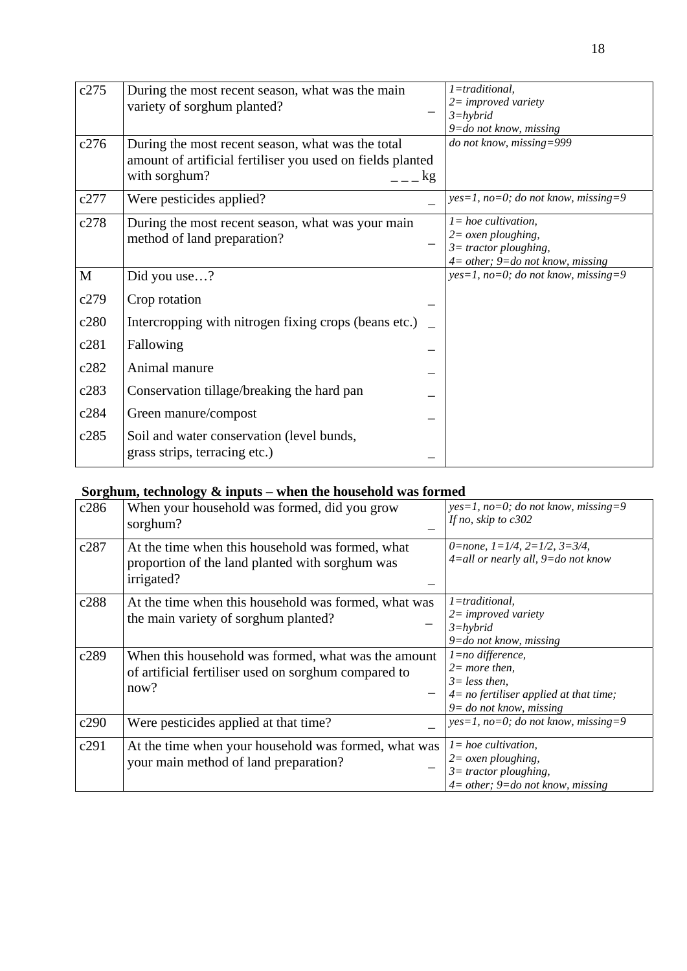| c275         | During the most recent season, what was the main<br>variety of sorghum planted?                                                  |    | $1 =$ traditional,<br>$2 = improved\ variety$<br>$3 = hybrid$<br>9=do not know, missing                                            |
|--------------|----------------------------------------------------------------------------------------------------------------------------------|----|------------------------------------------------------------------------------------------------------------------------------------|
| c276         | During the most recent season, what was the total<br>amount of artificial fertiliser you used on fields planted<br>with sorghum? | kg | do not know, missing=999                                                                                                           |
| c277         | Were pesticides applied?                                                                                                         |    | $yes=1, no=0; do not know, missing=9$                                                                                              |
| c278         | During the most recent season, what was your main<br>method of land preparation?                                                 |    | $l = hoe$ cultivation,<br>$2 = \alpha$ <i>sen ploughing</i> ,<br>$3$ = tractor ploughing,<br>$4=$ other; $9=$ do not know, missing |
| $\mathbf{M}$ | Did you use?                                                                                                                     |    | $yes=1$ , no=0; do not know, missing=9                                                                                             |
| c279         | Crop rotation                                                                                                                    |    |                                                                                                                                    |
| c280         | Intercropping with nitrogen fixing crops (beans etc.)                                                                            |    |                                                                                                                                    |
| c281         | Fallowing                                                                                                                        |    |                                                                                                                                    |
| c282         | Animal manure                                                                                                                    |    |                                                                                                                                    |
| c283         | Conservation tillage/breaking the hard pan                                                                                       |    |                                                                                                                                    |
| c284         | Green manure/compost                                                                                                             |    |                                                                                                                                    |
| c285         | Soil and water conservation (level bunds,<br>grass strips, terracing etc.)                                                       |    |                                                                                                                                    |

## **Sorghum, technology & inputs – when the household was formed**

| c286 | When your household was formed, did you grow<br>sorghum?                                                            | $yes=1, no=0; do not know, missing=9$<br>If no, skip to $c302$                                                                     |
|------|---------------------------------------------------------------------------------------------------------------------|------------------------------------------------------------------------------------------------------------------------------------|
| c287 | At the time when this household was formed, what<br>proportion of the land planted with sorghum was<br>irrigated?   | 0=none, $1=1/4$ , $2=1/2$ , $3=3/4$ ,<br>$4$ =all or nearly all, $9$ =do not know                                                  |
| c288 | At the time when this household was formed, what was<br>the main variety of sorghum planted?                        | 1=traditional.<br>$2=$ improved variety<br>$3 = h$ <sub>v</sub> $b$ rid<br>$9 =$ do not know, missing                              |
| c289 | When this household was formed, what was the amount<br>of artificial fertiliser used on sorghum compared to<br>now? | 1=no difference,<br>$2=$ more then,<br>$3 = less then$ .<br>$4=$ no fertiliser applied at that time;<br>$9 =$ do not know, missing |
| c290 | Were pesticides applied at that time?                                                                               | $yes=1, no=0; do not know, missing=9$                                                                                              |
| c291 | At the time when your household was formed, what was<br>your main method of land preparation?                       | $l = hoe$ cultivation,<br>$2 = \alpha$ <i>sen ploughing</i> ,<br>$3$ = tractor ploughing,<br>$4=$ other; $9=$ do not know, missing |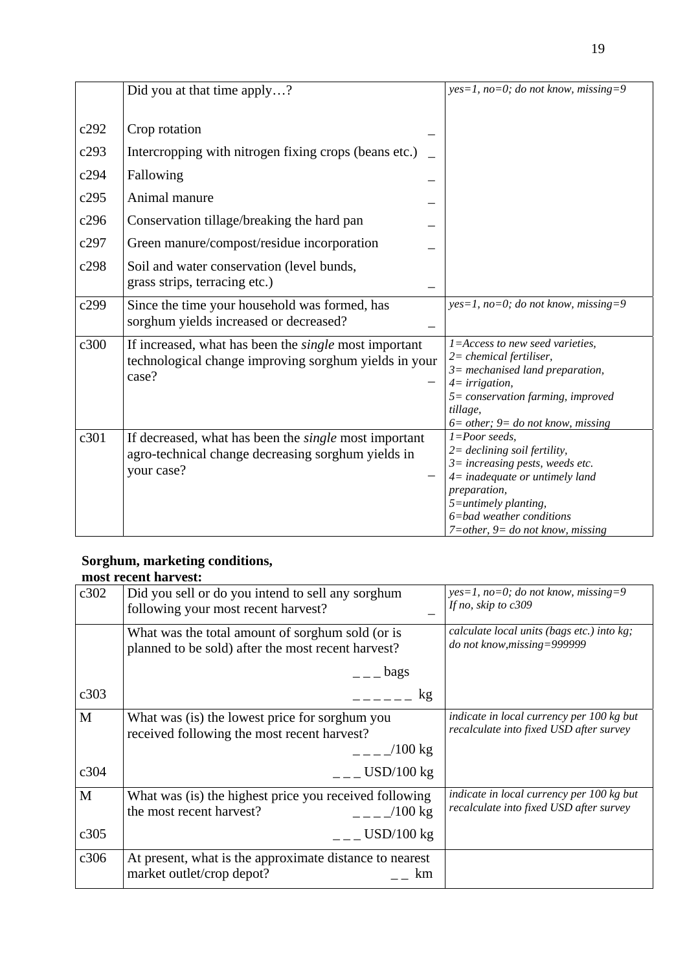|      | Did you at that time apply?                                                                                                      | $yes=1, no=0; do not know, missing=9$                                                                                                                                                                                                                        |
|------|----------------------------------------------------------------------------------------------------------------------------------|--------------------------------------------------------------------------------------------------------------------------------------------------------------------------------------------------------------------------------------------------------------|
| c292 | Crop rotation                                                                                                                    |                                                                                                                                                                                                                                                              |
| c293 | Intercropping with nitrogen fixing crops (beans etc.)                                                                            |                                                                                                                                                                                                                                                              |
| c294 | Fallowing                                                                                                                        |                                                                                                                                                                                                                                                              |
| c295 | Animal manure                                                                                                                    |                                                                                                                                                                                                                                                              |
| c296 | Conservation tillage/breaking the hard pan                                                                                       |                                                                                                                                                                                                                                                              |
| c297 | Green manure/compost/residue incorporation                                                                                       |                                                                                                                                                                                                                                                              |
| c298 | Soil and water conservation (level bunds,<br>grass strips, terracing etc.)                                                       |                                                                                                                                                                                                                                                              |
| c299 | Since the time your household was formed, has<br>sorghum yields increased or decreased?                                          | $yes=1, no=0; do not know, missing=9$                                                                                                                                                                                                                        |
| c300 | If increased, what has been the <i>single</i> most important<br>technological change improving sorghum yields in your<br>case?   | 1=Access to new seed varieties,<br>$2$ = chemical fertiliser,<br>$3$ = mechanised land preparation,<br>$4 = irrigation,$<br>$5 = conservation$ farming, improved<br>tillage,<br>$6 = other$ ; $9 = do not know, missing$                                     |
| c301 | If decreased, what has been the <i>single</i> most important<br>agro-technical change decreasing sorghum yields in<br>your case? | $1 = Poor$ seeds,<br>$2 = \{ 1$ declining soil fertility,<br>$3 = increasing$ pests, weeds etc.<br>$4$ = inadequate or untimely land<br>preparation,<br>$5 =$ untimely planting,<br>$6 = bad$ weather conditions<br>$7 = other$ , $9 = do not know, missing$ |

# **Sorghum, marketing conditions,**

| c302 | Did you sell or do you intend to sell any sorghum<br>following your most recent harvest?               | $yes=1$ , no=0; do not know, missing=9<br>If no, skip to c309                        |
|------|--------------------------------------------------------------------------------------------------------|--------------------------------------------------------------------------------------|
|      | What was the total amount of sorghum sold (or is<br>planned to be sold) after the most recent harvest? | calculate local units (bags etc.) into kg;<br>do not know, missing=999999            |
|      | $=-\log s$                                                                                             |                                                                                      |
| c303 | kg<br>$\perp$ $\perp$ $\perp$                                                                          |                                                                                      |
| M    | What was (is) the lowest price for sorghum you<br>received following the most recent harvest?          | indicate in local currency per 100 kg but<br>recalculate into fixed USD after survey |
|      | $/100 \text{ kg}$                                                                                      |                                                                                      |
| c304 | $\mu$ = $\mu$ USD/100 kg                                                                               |                                                                                      |
| M    | What was (is) the highest price you received following<br>the most recent harvest?<br>$-$ - $ /100$ kg | indicate in local currency per 100 kg but<br>recalculate into fixed USD after survey |
| c305 | $ -$ USD/100 kg                                                                                        |                                                                                      |
| c306 | At present, what is the approximate distance to nearest<br>market outlet/crop depot?<br>km             |                                                                                      |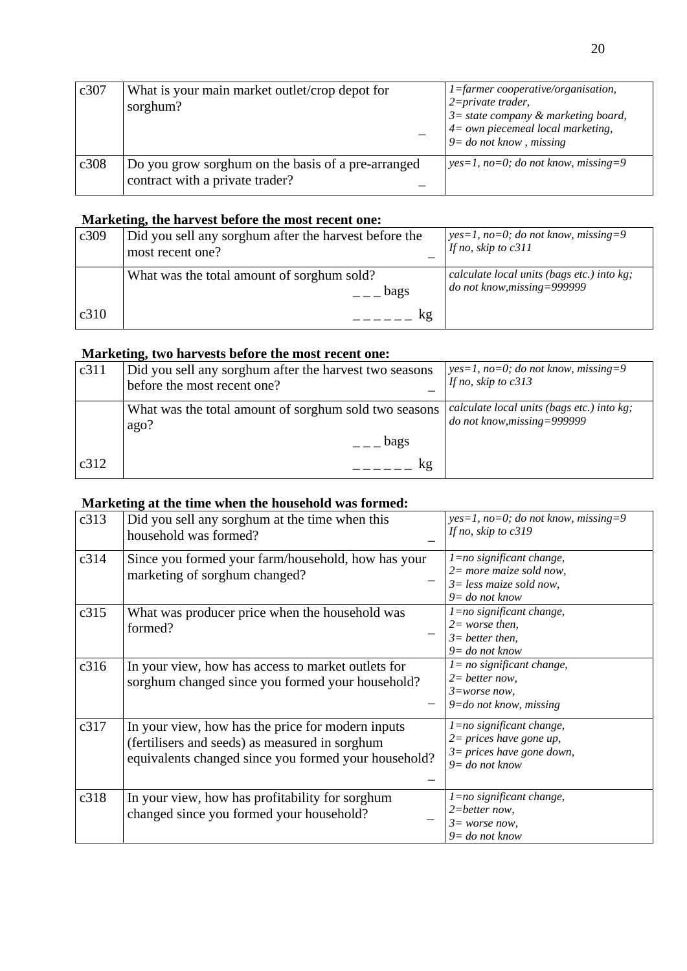| c307 | What is your main market outlet/crop depot for<br>sorghum?                            | $1 =$ farmer cooperative/organisation,<br>$2 = private\,$<br>$3 =$ state company & marketing board,<br>$4 = own$ piecemeal local marketing,<br>$9 =$ do not know, missing |
|------|---------------------------------------------------------------------------------------|---------------------------------------------------------------------------------------------------------------------------------------------------------------------------|
| c308 | Do you grow sorghum on the basis of a pre-arranged<br>contract with a private trader? | $yes=1, no=0; do not know, missing=9$                                                                                                                                     |

#### **Marketing, the harvest before the most recent one:**

| c309 | Did you sell any sorghum after the harvest before the<br>most recent one? | $yes=1, no=0; do not know, missing=9$<br>If no, skip to $c311$            |
|------|---------------------------------------------------------------------------|---------------------------------------------------------------------------|
|      | What was the total amount of sorghum sold?<br>bags                        | calculate local units (bags etc.) into kg;<br>do not know, missing=999999 |
| c310 | kg                                                                        |                                                                           |

#### **Marketing, two harvests before the most recent one:**

| c311 | Did you sell any sorghum after the harvest two seasons<br>before the most recent one? | $yes=1, no=0; do not know, missing=9$<br>If no, skip to $c313$            |
|------|---------------------------------------------------------------------------------------|---------------------------------------------------------------------------|
|      | What was the total amount of sorghum sold two seasons<br>ago?                         | calculate local units (bags etc.) into kg;<br>do not know, missing=999999 |
|      | bags                                                                                  |                                                                           |
| c312 | kg                                                                                    |                                                                           |

#### **Marketing at the time when the household was formed:**

| c313 | Did you sell any sorghum at the time when this<br>household was formed?                                                                                     | $yes=1, no=0; do not know, missing=9$<br>If no, skip to $c319$                                               |
|------|-------------------------------------------------------------------------------------------------------------------------------------------------------------|--------------------------------------------------------------------------------------------------------------|
| c314 | Since you formed your farm/household, how has your<br>marketing of sorghum changed?                                                                         | $l = no$ significant change,<br>$2=$ more maize sold now,<br>$3 = less$ maize sold now,<br>$9 = do$ not know |
| c315 | What was producer price when the household was<br>formed?                                                                                                   | 1=no significant change,<br>$2 = worse then$ ,<br>$3=$ better then,<br>$9 =$ do not know                     |
| c316 | In your view, how has access to market outlets for<br>sorghum changed since you formed your household?                                                      | $l = no$ significant change,<br>$2=$ better now,<br>$3 = worse now$ ,<br>9=do not know, missing              |
| c317 | In your view, how has the price for modern inputs<br>(fertilisers and seeds) as measured in sorghum<br>equivalents changed since you formed your household? | 1=no significant change,<br>$2 = prices$ have gone up,<br>$3 = prices$ have gone down,<br>$9 =$ do not know  |
| c318 | In your view, how has profitability for sorghum<br>changed since you formed your household?                                                                 | $l = no$ significant change,<br>$2 = better now,$<br>$3 = worse now$ ,<br>$9 =$ do not know                  |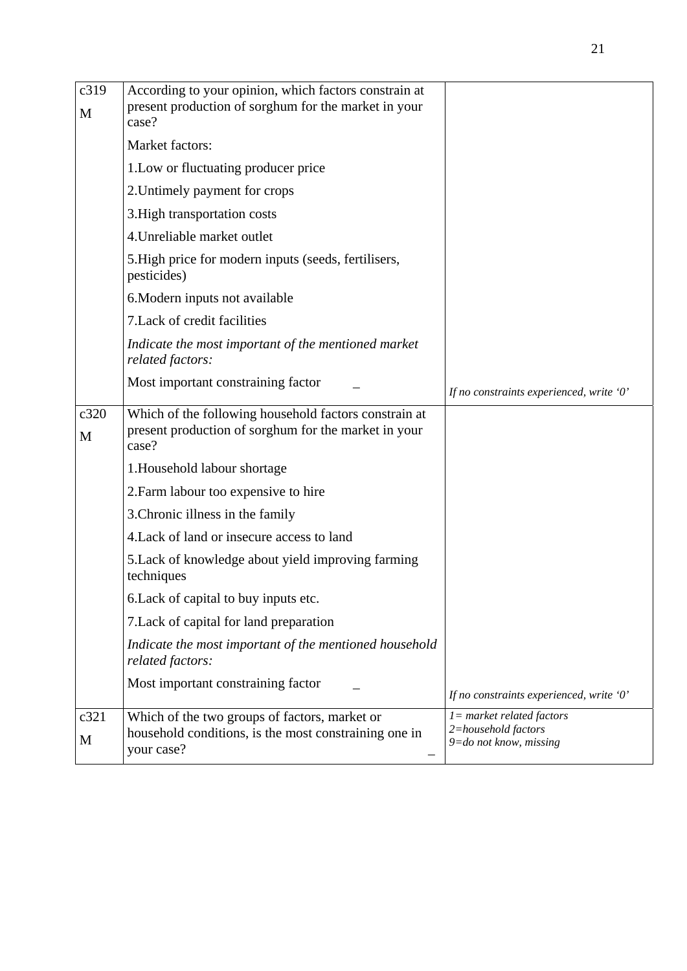| c319<br>M | According to your opinion, which factors constrain at<br>present production of sorghum for the market in your<br>case? |                                                                                   |
|-----------|------------------------------------------------------------------------------------------------------------------------|-----------------------------------------------------------------------------------|
|           | Market factors:                                                                                                        |                                                                                   |
|           | 1. Low or fluctuating producer price                                                                                   |                                                                                   |
|           | 2. Untimely payment for crops                                                                                          |                                                                                   |
|           | 3. High transportation costs                                                                                           |                                                                                   |
|           | 4. Unreliable market outlet                                                                                            |                                                                                   |
|           | 5. High price for modern inputs (seeds, fertilisers,<br>pesticides)                                                    |                                                                                   |
|           | 6. Modern inputs not available                                                                                         |                                                                                   |
|           | 7. Lack of credit facilities                                                                                           |                                                                                   |
|           | Indicate the most important of the mentioned market<br>related factors:                                                |                                                                                   |
|           | Most important constraining factor                                                                                     | If no constraints experienced, write '0'                                          |
| c320<br>M | Which of the following household factors constrain at<br>present production of sorghum for the market in your<br>case? |                                                                                   |
|           | 1. Household labour shortage                                                                                           |                                                                                   |
|           | 2. Farm labour too expensive to hire                                                                                   |                                                                                   |
|           | 3. Chronic illness in the family                                                                                       |                                                                                   |
|           | 4. Lack of land or insecure access to land                                                                             |                                                                                   |
|           | 5. Lack of knowledge about yield improving farming<br>techniques                                                       |                                                                                   |
|           | 6. Lack of capital to buy inputs etc.                                                                                  |                                                                                   |
|           | 7. Lack of capital for land preparation                                                                                |                                                                                   |
|           | Indicate the most important of the mentioned household<br>related factors:                                             |                                                                                   |
|           | Most important constraining factor                                                                                     | If no constraints experienced, write '0'                                          |
| c321<br>M | Which of the two groups of factors, market or<br>household conditions, is the most constraining one in<br>your case?   | $l = market$ related factors<br>2=household factors<br>$9 = do$ not know, missing |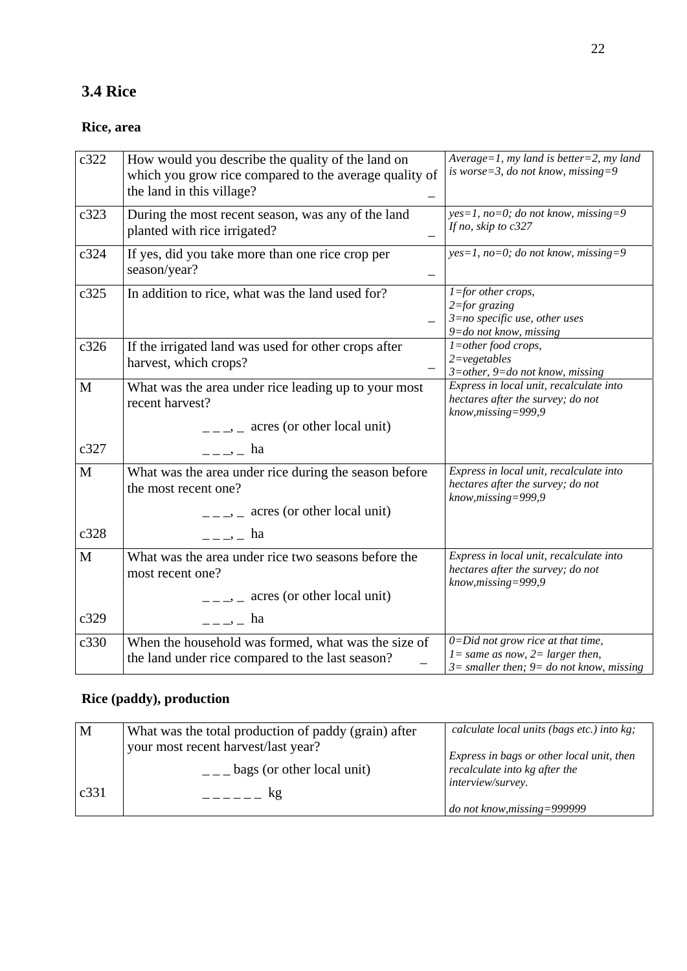# **3.4 Rice**

### **Rice, area**

| c322 | How would you describe the quality of the land on<br>which you grow rice compared to the average quality of<br>the land in this village?   | Average=1, my land is better=2, my land<br>is worse=3, do not know, missing=9                                                  |
|------|--------------------------------------------------------------------------------------------------------------------------------------------|--------------------------------------------------------------------------------------------------------------------------------|
| c323 | During the most recent season, was any of the land<br>planted with rice irrigated?                                                         | $yes=1$ , no=0; do not know, missing=9<br>If no, skip to $c327$                                                                |
| c324 | If yes, did you take more than one rice crop per<br>season/year?                                                                           | yes=1, no=0; do not know, missing=9                                                                                            |
| c325 | In addition to rice, what was the land used for?                                                                                           | $1 =$ for other crops,<br>$2 = for$ grazing<br>$3=$ no specific use, other uses<br>9=do not know, missing                      |
| c326 | If the irrigated land was used for other crops after<br>harvest, which crops?                                                              | $1$ =other food crops,<br>$2 = vegetables$<br>$3$ =other, 9=do not know, missing                                               |
| M    | What was the area under rice leading up to your most<br>recent harvest?<br>$\frac{1}{1}$ = $\frac{1}{2}$ acres (or other local unit)       | Express in local unit, recalculate into<br>hectares after the survey; do not<br>$know, missing = 999, 9$                       |
| c327 | $\frac{1}{2}$ $\frac{1}{2}$ $\frac{1}{2}$ ha                                                                                               |                                                                                                                                |
| M    | What was the area under rice during the season before<br>the most recent one?<br>$\frac{1}{1}$ = $\frac{1}{2}$ acres (or other local unit) | Express in local unit, recalculate into<br>hectares after the survey; do not<br>$know, missing = 999, 9$                       |
| c328 | $\frac{1}{2}$ = $\frac{1}{2}$ = ha                                                                                                         |                                                                                                                                |
| M    | What was the area under rice two seasons before the<br>most recent one?<br>$\frac{1}{1}$ = $\frac{1}{1}$ acres (or other local unit)       | Express in local unit, recalculate into<br>hectares after the survey; do not<br>know, missing=999,9                            |
| c329 | $-\frac{1}{2}$ ha                                                                                                                          |                                                                                                                                |
| c330 | When the household was formed, what was the size of<br>the land under rice compared to the last season?                                    | $0 = Did$ not grow rice at that time,<br>$l = same$ as now, $2 = larger$ then,<br>$3=$ smaller then; $9=$ do not know, missing |

### **Rice (paddy), production**

| M    | What was the total production of paddy (grain) after | calculate local units (bags etc.) into kg; |
|------|------------------------------------------------------|--------------------------------------------|
|      | your most recent harvest/last year?                  | Express in bags or other local unit, then  |
|      | bags (or other local unit)                           | recalculate into kg after the              |
| c331 | kg                                                   | interview/survey.                          |
|      |                                                      | do not know, missing=999999                |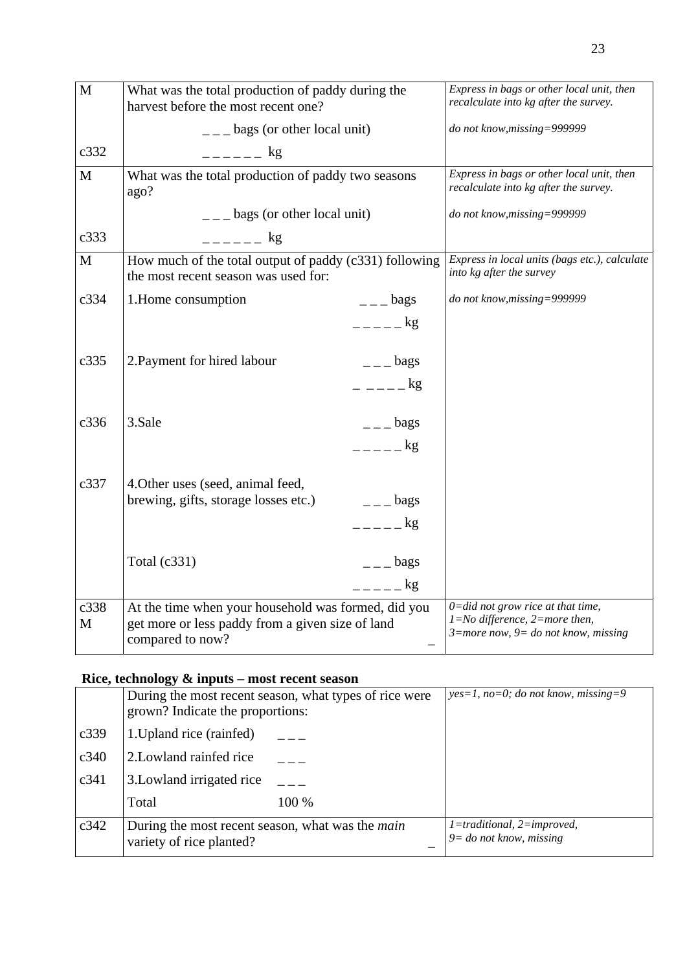| M           | What was the total production of paddy during the<br>harvest before the most recent one?                                    |                      | Express in bags or other local unit, then<br>recalculate into kg after the survey.                                          |
|-------------|-----------------------------------------------------------------------------------------------------------------------------|----------------------|-----------------------------------------------------------------------------------------------------------------------------|
|             | $\frac{1}{2}$ – $\frac{1}{2}$ bags (or other local unit)                                                                    |                      | do not know, missing=999999                                                                                                 |
| c332        | $     \mathop{\rm kg}\limits$                                                                                               |                      |                                                                                                                             |
| $\mathbf M$ | What was the total production of paddy two seasons<br>ago?                                                                  |                      | Express in bags or other local unit, then<br>recalculate into kg after the survey.                                          |
|             | $\frac{1}{2}$ bags (or other local unit)                                                                                    |                      | do not know, missing=999999                                                                                                 |
| c333        | $--     \&$                                                                                                                 |                      |                                                                                                                             |
| M           | How much of the total output of paddy (c331) following<br>the most recent season was used for:                              |                      | Express in local units (bags etc.), calculate<br>into kg after the survey                                                   |
| c334        | 1. Home consumption                                                                                                         | $ -$ bags            | do not know, missing=999999                                                                                                 |
|             |                                                                                                                             | $=-=-\log$           |                                                                                                                             |
| c335        | 2. Payment for hired labour                                                                                                 | $ -$ bags            |                                                                                                                             |
|             |                                                                                                                             | $    \text{kg}$      |                                                                                                                             |
| c336        | 3.Sale                                                                                                                      | $ -$ bags            |                                                                                                                             |
|             |                                                                                                                             | $=-=-\frac{kg}{\pi}$ |                                                                                                                             |
| c337        | 4. Other uses (seed, animal feed,                                                                                           |                      |                                                                                                                             |
|             | brewing, gifts, storage losses etc.)                                                                                        | $ -$ bags            |                                                                                                                             |
|             |                                                                                                                             | $=-=-\log$           |                                                                                                                             |
|             | Total $(c331)$                                                                                                              | $  -$ bags           |                                                                                                                             |
|             |                                                                                                                             | $=-=-\log$           |                                                                                                                             |
| c338<br>M   | At the time when your household was formed, did you<br>get more or less paddy from a given size of land<br>compared to now? |                      | $0 = did not grow rice at that time,$<br>$1 = No$ difference, $2 = more$ then,<br>$3$ =more now, $9$ = do not know, missing |

#### **Rice, technology & inputs – most recent season**

|      | $\mathbf{r}$ and $\mathbf{r}$ and $\mathbf{r}$ are $\mathbf{r}$ and $\mathbf{r}$ and $\mathbf{r}$ are $\mathbf{r}$ and $\mathbf{r}$ and $\mathbf{r}$ are $\mathbf{r}$ |                                                        |                                                          |
|------|-----------------------------------------------------------------------------------------------------------------------------------------------------------------------|--------------------------------------------------------|----------------------------------------------------------|
|      | grown? Indicate the proportions:                                                                                                                                      | During the most recent season, what types of rice were | $yes=1, no=0; do not know, missing=9$                    |
| c339 | 1. Upland rice (rainfed)                                                                                                                                              |                                                        |                                                          |
| c340 | 2. Lowland rainfed rice                                                                                                                                               |                                                        |                                                          |
| c341 | 3. Lowland irrigated rice                                                                                                                                             |                                                        |                                                          |
|      | Total                                                                                                                                                                 | 100 %                                                  |                                                          |
| c342 | During the most recent season, what was the <i>main</i><br>variety of rice planted?                                                                                   |                                                        | 1=traditional, 2=improved,<br>$9 =$ do not know, missing |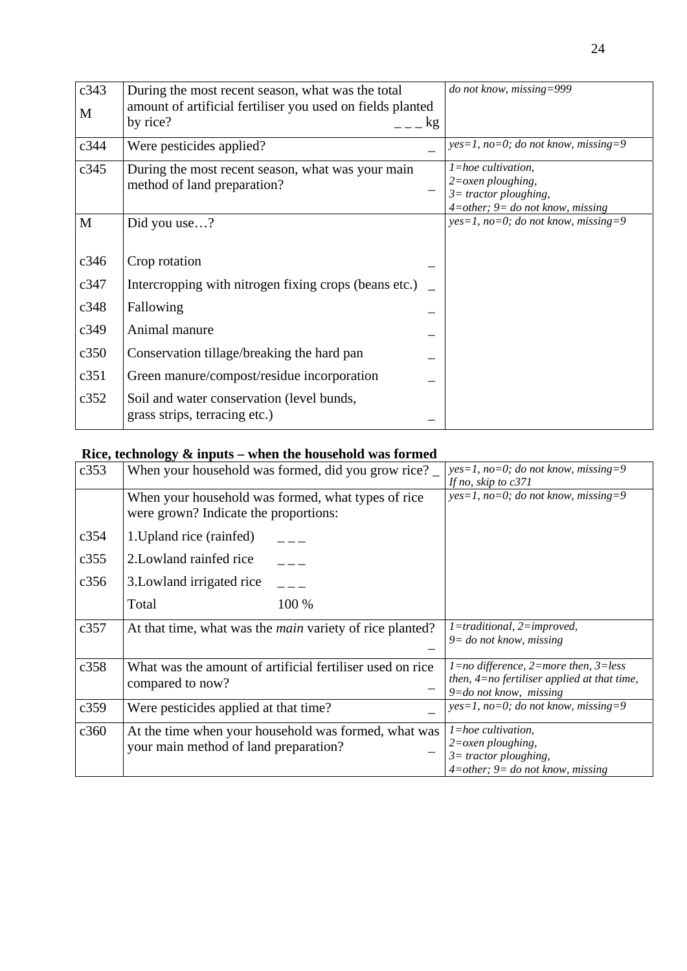| c343 | During the most recent season, what was the total          |    | do not know, missing=999                                        |
|------|------------------------------------------------------------|----|-----------------------------------------------------------------|
| M    | amount of artificial fertiliser you used on fields planted |    |                                                                 |
|      | by rice?                                                   | kg |                                                                 |
| c344 | Were pesticides applied?                                   |    | $yes=1, no=0; do not know, missing=9$                           |
| c345 | During the most recent season, what was your main          |    | $l = hoe$ cultivation,                                          |
|      | method of land preparation?                                |    | $2 = \alpha$ <i>zen ploughing</i> ,<br>$3 =$ tractor ploughing, |
|      |                                                            |    | $4$ =other; $9$ = do not know, missing                          |
| M    | Did you use?                                               |    | $yes=1, no=0; do not know, missing=9$                           |
|      |                                                            |    |                                                                 |
| c346 | Crop rotation                                              |    |                                                                 |
| c347 | Intercropping with nitrogen fixing crops (beans etc.)      |    |                                                                 |
| c348 | Fallowing                                                  |    |                                                                 |
| c349 | Animal manure                                              |    |                                                                 |
| c350 | Conservation tillage/breaking the hard pan                 |    |                                                                 |
| c351 | Green manure/compost/residue incorporation                 |    |                                                                 |
| c352 | Soil and water conservation (level bunds,                  |    |                                                                 |
|      | grass strips, terracing etc.)                              |    |                                                                 |

# **Rice, technology & inputs – when the household was formed**

| c353 | When your household was formed, did you grow rice?                                            | $yes=1, no=0; do not know, missing=9$<br>If no, skip to $c371$                                                                   |
|------|-----------------------------------------------------------------------------------------------|----------------------------------------------------------------------------------------------------------------------------------|
|      | When your household was formed, what types of rice<br>were grown? Indicate the proportions:   | $yes=1$ , no=0; do not know, missing=9                                                                                           |
| c354 | 1. Upland rice (rainfed)                                                                      |                                                                                                                                  |
| c355 | 2. Lowland rainfed rice                                                                       |                                                                                                                                  |
| c356 | 3. Lowland irrigated rice                                                                     |                                                                                                                                  |
|      | 100 %<br>Total                                                                                |                                                                                                                                  |
| c357 | At that time, what was the <i>main</i> variety of rice planted?                               | $1 =$ traditional, $2 =$ improved,<br>$9 =$ do not know, missing                                                                 |
| c358 | What was the amount of artificial fertiliser used on rice<br>compared to now?                 | $1 = no$ difference, $2 = more$ then, $3 = less$<br>then, $4=$ no fertiliser applied at that time,<br>$9 =$ do not know, missing |
| c359 | Were pesticides applied at that time?                                                         | $yes=1, no=0; do not know, missing=9$                                                                                            |
| c360 | At the time when your household was formed, what was<br>your main method of land preparation? | $l = hoe$ cultivation,<br>$2 = \alpha$ <i>zen ploughing</i> ,<br>$3$ = tractor ploughing,<br>$4$ =other; 9= do not know, missing |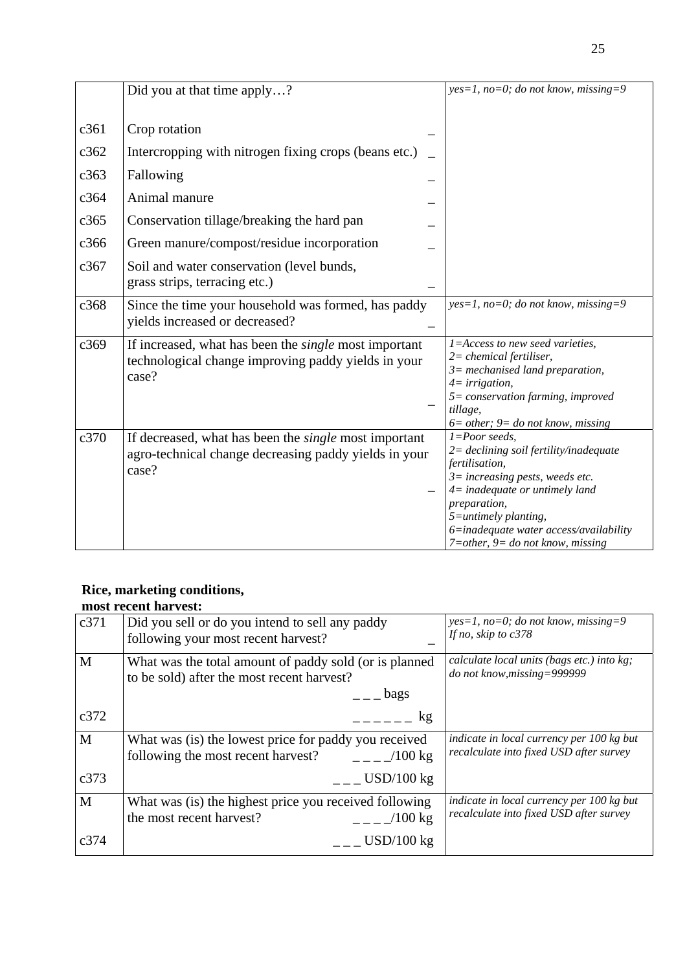|      | Did you at that time apply?                                                                                                    | $yes=1, no=0; do not know, missing=9$                                                                                                                                                                                                                                                         |
|------|--------------------------------------------------------------------------------------------------------------------------------|-----------------------------------------------------------------------------------------------------------------------------------------------------------------------------------------------------------------------------------------------------------------------------------------------|
|      |                                                                                                                                |                                                                                                                                                                                                                                                                                               |
| c361 | Crop rotation                                                                                                                  |                                                                                                                                                                                                                                                                                               |
| c362 | Intercropping with nitrogen fixing crops (beans etc.)                                                                          |                                                                                                                                                                                                                                                                                               |
| c363 | Fallowing                                                                                                                      |                                                                                                                                                                                                                                                                                               |
| c364 | Animal manure                                                                                                                  |                                                                                                                                                                                                                                                                                               |
| c365 | Conservation tillage/breaking the hard pan                                                                                     |                                                                                                                                                                                                                                                                                               |
| c366 | Green manure/compost/residue incorporation                                                                                     |                                                                                                                                                                                                                                                                                               |
| c367 | Soil and water conservation (level bunds,<br>grass strips, terracing etc.)                                                     |                                                                                                                                                                                                                                                                                               |
| c368 | Since the time your household was formed, has paddy<br>yields increased or decreased?                                          | $yes=1, no=0; do not know, missing=9$                                                                                                                                                                                                                                                         |
| c369 | If increased, what has been the <i>single</i> most important<br>technological change improving paddy yields in your<br>case?   | 1=Access to new seed varieties,<br>$2$ = chemical fertiliser,<br>$3$ = mechanised land preparation,<br>$4 = irrigation,$<br>5= conservation farming, improved<br>tillage,<br>$6 = other$ ; $9 = do not know, missing$                                                                         |
| c370 | If decreased, what has been the <i>single</i> most important<br>agro-technical change decreasing paddy yields in your<br>case? | $1 = Poor$ seeds,<br>$2$ = declining soil fertility/inadequate<br>fertilisation,<br>$3$ = increasing pests, weeds etc.<br>$4$ = inadequate or untimely land<br>preparation,<br>$5 =$ untimely planting,<br>6=inadequate water access/availability<br>$7 = other$ , $9 = do not know, missing$ |

#### **Rice, marketing conditions,**

|      | most recent harvest:                                    |                                                                |
|------|---------------------------------------------------------|----------------------------------------------------------------|
| c371 | Did you sell or do you intend to sell any paddy         | $yes=1, no=0; do not know, missing=9$<br>If no, skip to $c378$ |
|      | following your most recent harvest?                     |                                                                |
| M    | What was the total amount of paddy sold (or is planned  | calculate local units (bags etc.) into kg;                     |
|      | to be sold) after the most recent harvest?              | do not know, missing=999999                                    |
|      | $\overline{a}$ $\overline{b}$ ags                       |                                                                |
| c372 | kg                                                      |                                                                |
| M    | What was (is) the lowest price for paddy you received   | indicate in local currency per 100 kg but                      |
|      | following the most recent harvest?<br>$/100 \text{ kg}$ | recalculate into fixed USD after survey                        |
| c373 | $USD/100$ kg                                            |                                                                |
| M    | What was (is) the highest price you received following  | indicate in local currency per 100 kg but                      |
|      | the most recent harvest?<br>$   /100$ kg                | recalculate into fixed USD after survey                        |
| c374 | $USD/100$ kg                                            |                                                                |
|      |                                                         |                                                                |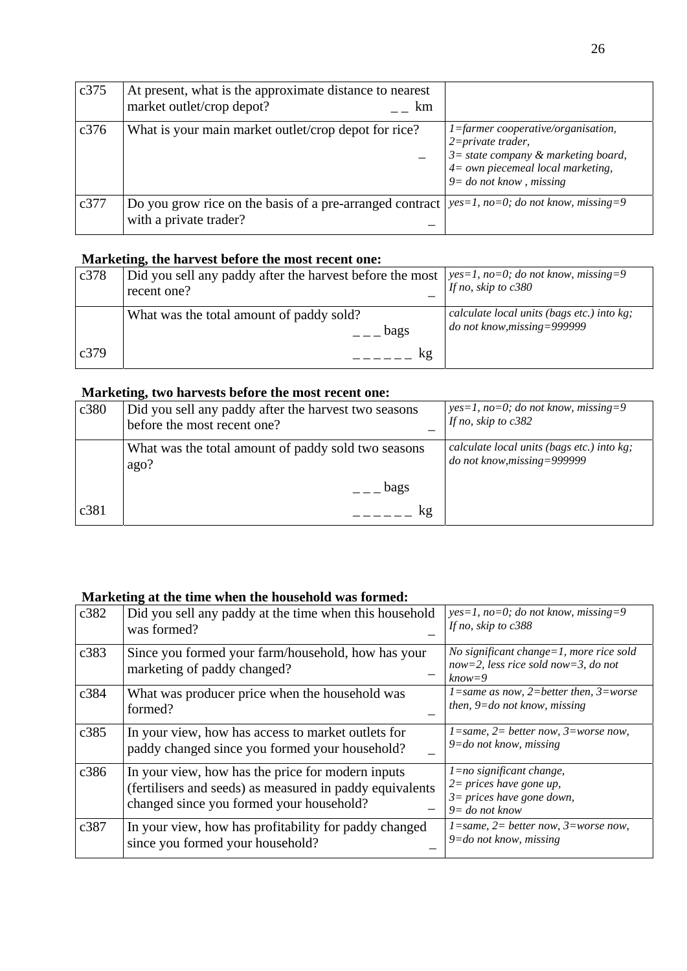| c375 | At present, what is the approximate distance to nearest<br>market outlet/crop depot?<br>km |                                                                                                                                                                       |
|------|--------------------------------------------------------------------------------------------|-----------------------------------------------------------------------------------------------------------------------------------------------------------------------|
| c376 | What is your main market outlet/crop depot for rice?                                       | 1=farmer cooperative/organisation,<br>$2 = private\,$<br>$3 =$ state company & marketing board,<br>$4 =$ own piecemeal local marketing,<br>$9 =$ do not know, missing |
| c377 | Do you grow rice on the basis of a pre-arranged contract<br>with a private trader?         | $yes=1$ , no=0; do not know, missing=9                                                                                                                                |

#### **Marketing, the harvest before the most recent one:**

| c378 | Did you sell any paddy after the harvest before the most   $yes=1$ , no=0; do not know, missing=9<br>recent one? | If no, skip to $c380$                                                       |
|------|------------------------------------------------------------------------------------------------------------------|-----------------------------------------------------------------------------|
| c379 | What was the total amount of paddy sold?<br>bags<br>kg                                                           | calculate local units (bags etc.) into kg;<br>$do$ not know, missing=999999 |

#### **Marketing, two harvests before the most recent one:**

| c380 | Did you sell any paddy after the harvest two seasons<br>before the most recent one? | $yes=1$ , no=0; do not know, missing=9<br>If no, skip to $c382$           |
|------|-------------------------------------------------------------------------------------|---------------------------------------------------------------------------|
|      | What was the total amount of paddy sold two seasons<br>ago?                         | calculate local units (bags etc.) into kg;<br>do not know, missing=999999 |
|      | bags                                                                                |                                                                           |
| c381 | kg                                                                                  |                                                                           |

#### **Marketing at the time when the household was formed:**

| c382 | Did you sell any paddy at the time when this household<br>was formed?                                                                                     | $yes=1, no=0; do not know, missing=9$<br>If no, skip to $c388$                                                  |
|------|-----------------------------------------------------------------------------------------------------------------------------------------------------------|-----------------------------------------------------------------------------------------------------------------|
| c383 | Since you formed your farm/household, how has your<br>marketing of paddy changed?                                                                         | No significant change= $1$ , more rice sold<br>now=2, less rice sold now=3, do not<br>$know=9$                  |
| c384 | What was producer price when the household was<br>formed?                                                                                                 | $l = same$ as now, 2=better then, 3=worse<br>then, $9 = do$ not know, missing                                   |
| c385 | In your view, how has access to market outlets for<br>paddy changed since you formed your household?                                                      | $l = same$ , $2 = better now$ , $3 = worse now$ ,<br>$9 = do$ not know, missing                                 |
| c386 | In your view, how has the price for modern inputs<br>(fertilisers and seeds) as measured in paddy equivalents<br>changed since you formed your household? | $l = no$ significant change,<br>$2 = prices$ have gone up,<br>$3 = prices$ have gone down,<br>$9 = do$ not know |
| c387 | In your view, how has profitability for paddy changed<br>since you formed your household?                                                                 | $1 = same, 2 = better now, 3 = worse now,$<br>$9 = do$ not know, missing                                        |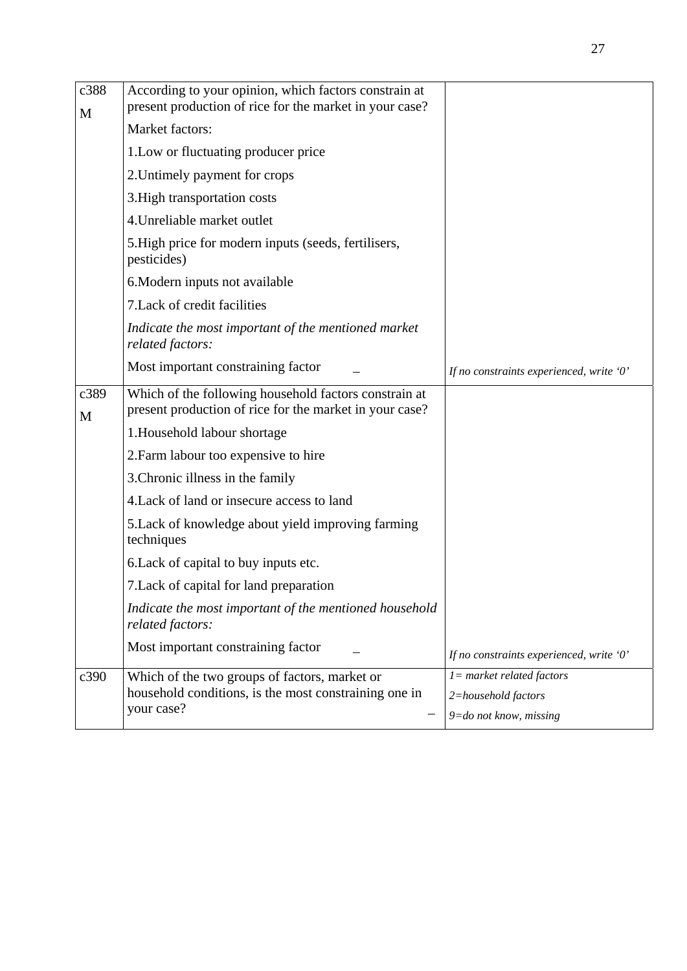| c388<br>M | According to your opinion, which factors constrain at<br>present production of rice for the market in your case? |                                          |
|-----------|------------------------------------------------------------------------------------------------------------------|------------------------------------------|
|           | <b>Market factors:</b>                                                                                           |                                          |
|           | 1. Low or fluctuating producer price                                                                             |                                          |
|           | 2. Untimely payment for crops                                                                                    |                                          |
|           | 3. High transportation costs                                                                                     |                                          |
|           | 4. Unreliable market outlet                                                                                      |                                          |
|           | 5. High price for modern inputs (seeds, fertilisers,<br>pesticides)                                              |                                          |
|           | 6. Modern inputs not available                                                                                   |                                          |
|           | 7. Lack of credit facilities                                                                                     |                                          |
|           | Indicate the most important of the mentioned market<br>related factors:                                          |                                          |
|           | Most important constraining factor                                                                               | If no constraints experienced, write '0' |
| c389<br>M | Which of the following household factors constrain at<br>present production of rice for the market in your case? |                                          |
|           | 1. Household labour shortage                                                                                     |                                          |
|           | 2. Farm labour too expensive to hire                                                                             |                                          |
|           | 3. Chronic illness in the family                                                                                 |                                          |
|           | 4. Lack of land or insecure access to land                                                                       |                                          |
|           | 5. Lack of knowledge about yield improving farming<br>techniques                                                 |                                          |
|           | 6. Lack of capital to buy inputs etc.                                                                            |                                          |
|           | 7. Lack of capital for land preparation                                                                          |                                          |
|           | Indicate the most important of the mentioned household<br>related factors:                                       |                                          |
|           | Most important constraining factor                                                                               | If no constraints experienced, write '0' |
| c390      | Which of the two groups of factors, market or                                                                    | $l = market$ related factors             |
|           | household conditions, is the most constraining one in<br>your case?                                              | 2=household factors                      |
|           |                                                                                                                  | $9 =$ do not know, missing               |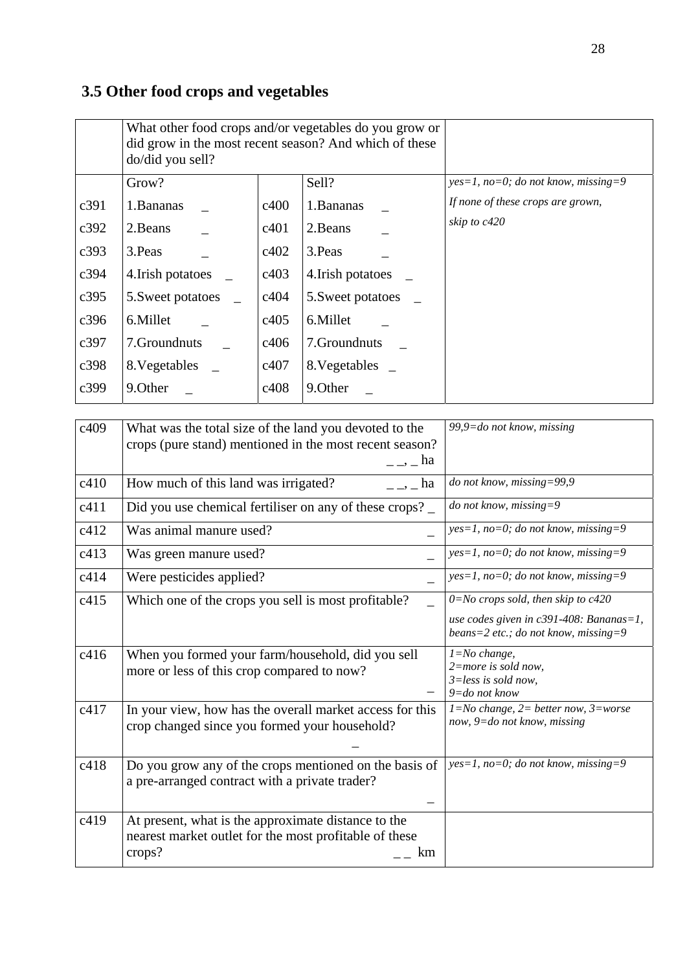# **3.5 Other food crops and vegetables**

|      | What other food crops and/or vegetables do you grow or<br>did grow in the most recent season? And which of these<br>do/did you sell? |      |                   |                                       |
|------|--------------------------------------------------------------------------------------------------------------------------------------|------|-------------------|---------------------------------------|
|      | Grow?                                                                                                                                |      | Sell?             | $yes=1, no=0; do not know, missing=9$ |
| c391 | 1. Bananas                                                                                                                           | c400 | 1.Bananas         | If none of these crops are grown,     |
| c392 | 2. Beans                                                                                                                             | c401 | 2. Beans          | skip to c420                          |
| c393 | 3. Peas                                                                                                                              | c402 | 3. Peas           |                                       |
| c394 | 4. Irish potatoes                                                                                                                    | c403 | 4. Irish potatoes |                                       |
| c395 | 5. Sweet potatoes                                                                                                                    | c404 | 5. Sweet potatoes |                                       |
| c396 | 6.Millet                                                                                                                             | c405 | 6.Millet          |                                       |
| c397 | 7.Groundnuts                                                                                                                         | c406 | 7. Groundnuts     |                                       |
| c398 | 8. Vegetables                                                                                                                        | c407 | 8. Vegetables     |                                       |
| c399 | 9. Other                                                                                                                             | c408 | 9.Other           |                                       |

| c409 | What was the total size of the land you devoted to the<br>crops (pure stand) mentioned in the most recent season?<br>$\overline{\phantom{a}}$ $\overline{\phantom{a}}$ $\overline{\phantom{a}}$ $\overline{\phantom{a}}$ $\overline{\phantom{a}}$ $\overline{\phantom{a}}$ $\overline{\phantom{a}}$ $\overline{\phantom{a}}$ $\overline{\phantom{a}}$ $\overline{\phantom{a}}$ $\overline{\phantom{a}}$ $\overline{\phantom{a}}$ $\overline{\phantom{a}}$ $\overline{\phantom{a}}$ $\overline{\phantom{a}}$ $\overline{\phantom{a}}$ $\overline{\phantom{a}}$ $\overline{\phantom{a}}$ $\overline{\$ | 99,9= $do$ not know, missing                                                                                                         |
|------|------------------------------------------------------------------------------------------------------------------------------------------------------------------------------------------------------------------------------------------------------------------------------------------------------------------------------------------------------------------------------------------------------------------------------------------------------------------------------------------------------------------------------------------------------------------------------------------------------|--------------------------------------------------------------------------------------------------------------------------------------|
| c410 | How much of this land was irrigated?<br>$\overline{\phantom{a}}$ $\overline{\phantom{a}}$ $\overline{\phantom{a}}$ $\overline{\phantom{a}}$ $\overline{\phantom{a}}$ $\overline{\phantom{a}}$ $\overline{\phantom{a}}$ $\overline{\phantom{a}}$ $\overline{\phantom{a}}$ $\overline{\phantom{a}}$ $\overline{\phantom{a}}$ $\overline{\phantom{a}}$ $\overline{\phantom{a}}$ $\overline{\phantom{a}}$ $\overline{\phantom{a}}$ $\overline{\phantom{a}}$ $\overline{\phantom{a}}$ $\overline{\phantom{a}}$ $\overline{\$                                                                              | do not know, missing=99,9                                                                                                            |
| c411 | Did you use chemical fertiliser on any of these crops?                                                                                                                                                                                                                                                                                                                                                                                                                                                                                                                                               | do not know, missing=9                                                                                                               |
| c412 | Was animal manure used?                                                                                                                                                                                                                                                                                                                                                                                                                                                                                                                                                                              | $yes=1$ , no=0; do not know, missing=9                                                                                               |
| c413 | Was green manure used?                                                                                                                                                                                                                                                                                                                                                                                                                                                                                                                                                                               | $yes=1$ , no=0; do not know, missing=9                                                                                               |
| c414 | Were pesticides applied?                                                                                                                                                                                                                                                                                                                                                                                                                                                                                                                                                                             | $yes=1$ , no=0; do not know, missing=9                                                                                               |
| c415 | Which one of the crops you sell is most profitable?                                                                                                                                                                                                                                                                                                                                                                                                                                                                                                                                                  | $0 = No$ crops sold, then skip to $c420$<br>use codes given in $c391-408$ : Bananas=1,<br>beans= $2$ etc.; do not know, missing= $9$ |
| c416 | When you formed your farm/household, did you sell<br>more or less of this crop compared to now?                                                                                                                                                                                                                                                                                                                                                                                                                                                                                                      | $1 = No$ change,<br>$2$ =more is sold now,<br>$3 = less$ is sold now,<br>$9 = do$ not know                                           |
| c417 | In your view, how has the overall market access for this<br>crop changed since you formed your household?                                                                                                                                                                                                                                                                                                                                                                                                                                                                                            | $\overline{I=No}$ change, 2= better now, 3=worse<br>now, $9 = do$ not know, missing                                                  |
| c418 | Do you grow any of the crops mentioned on the basis of<br>a pre-arranged contract with a private trader?                                                                                                                                                                                                                                                                                                                                                                                                                                                                                             | $yes=1, no=0; do not know, missing=9$                                                                                                |
| c419 | At present, what is the approximate distance to the<br>nearest market outlet for the most profitable of these<br>crops?<br>km                                                                                                                                                                                                                                                                                                                                                                                                                                                                        |                                                                                                                                      |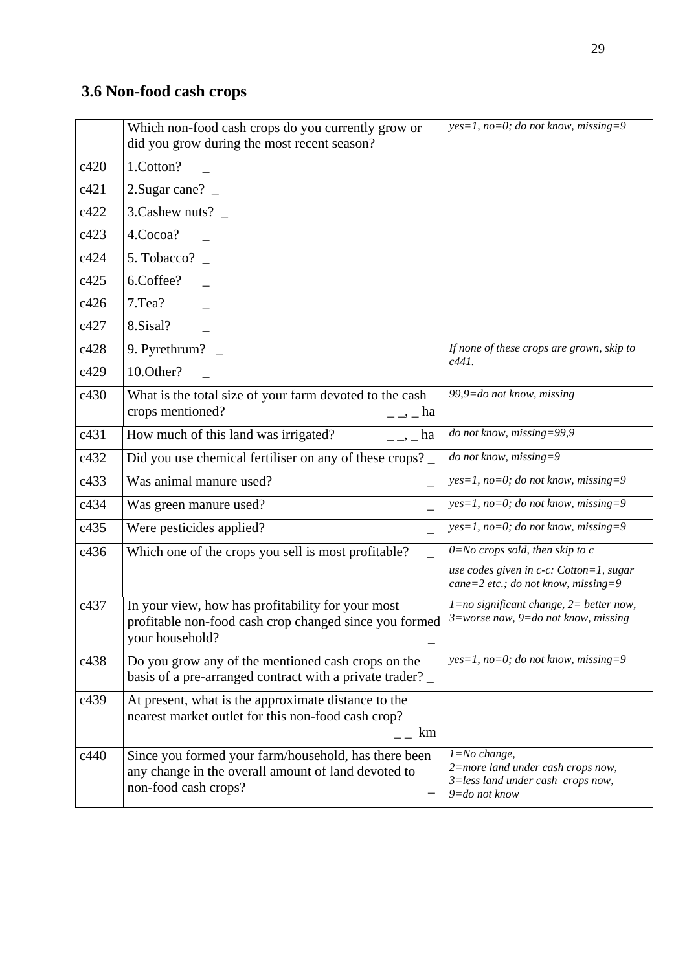# **3.6 Non-food cash crops**

|      | Which non-food cash crops do you currently grow or<br>did you grow during the most recent season?                                                                                                                                                                                                                                                                                                                                                                                                                       | $yes=1$ , no=0; do not know, missing=9                                                                      |
|------|-------------------------------------------------------------------------------------------------------------------------------------------------------------------------------------------------------------------------------------------------------------------------------------------------------------------------------------------------------------------------------------------------------------------------------------------------------------------------------------------------------------------------|-------------------------------------------------------------------------------------------------------------|
| c420 | 1.Cotton?                                                                                                                                                                                                                                                                                                                                                                                                                                                                                                               |                                                                                                             |
| c421 | 2. Sugar cane? $\overline{\phantom{0}}$                                                                                                                                                                                                                                                                                                                                                                                                                                                                                 |                                                                                                             |
| c422 | 3. Cashew nuts? _                                                                                                                                                                                                                                                                                                                                                                                                                                                                                                       |                                                                                                             |
| c423 | 4.Cocoa?                                                                                                                                                                                                                                                                                                                                                                                                                                                                                                                |                                                                                                             |
| c424 | 5. Tobacco?                                                                                                                                                                                                                                                                                                                                                                                                                                                                                                             |                                                                                                             |
| c425 | 6.Coffee?                                                                                                                                                                                                                                                                                                                                                                                                                                                                                                               |                                                                                                             |
| c426 | 7.Tea?                                                                                                                                                                                                                                                                                                                                                                                                                                                                                                                  |                                                                                                             |
| c427 | 8.Sisal?                                                                                                                                                                                                                                                                                                                                                                                                                                                                                                                |                                                                                                             |
| c428 | 9. Pyrethrum?                                                                                                                                                                                                                                                                                                                                                                                                                                                                                                           | If none of these crops are grown, skip to                                                                   |
| c429 | 10.Other?                                                                                                                                                                                                                                                                                                                                                                                                                                                                                                               | $c441$ .                                                                                                    |
| c430 | What is the total size of your farm devoted to the cash<br>crops mentioned?<br>$\frac{1}{2}$ - $\frac{1}{2}$ ha                                                                                                                                                                                                                                                                                                                                                                                                         | 99,9= $do$ not know, missing                                                                                |
| c431 | How much of this land was irrigated?<br>$\overline{\phantom{a}}$ $\overline{\phantom{a}}$ $\overline{\phantom{a}}$ $\overline{\phantom{a}}$ $\overline{\phantom{a}}$ $\overline{\phantom{a}}$ $\overline{\phantom{a}}$ $\overline{\phantom{a}}$ $\overline{\phantom{a}}$ $\overline{\phantom{a}}$ $\overline{\phantom{a}}$ $\overline{\phantom{a}}$ $\overline{\phantom{a}}$ $\overline{\phantom{a}}$ $\overline{\phantom{a}}$ $\overline{\phantom{a}}$ $\overline{\phantom{a}}$ $\overline{\phantom{a}}$ $\overline{\$ | do not know, missing=99,9                                                                                   |
| c432 | Did you use chemical fertiliser on any of these crops?                                                                                                                                                                                                                                                                                                                                                                                                                                                                  | $do$ not know, missing=9                                                                                    |
| c433 | Was animal manure used?                                                                                                                                                                                                                                                                                                                                                                                                                                                                                                 | $yes=1$ , no=0; do not know, missing=9                                                                      |
| c434 | Was green manure used?                                                                                                                                                                                                                                                                                                                                                                                                                                                                                                  | $yes=1$ , no=0; do not know, missing=9                                                                      |
| c435 | Were pesticides applied?<br>$\overline{\phantom{0}}$                                                                                                                                                                                                                                                                                                                                                                                                                                                                    | $yes=1, no=0; do not know, missing=9$                                                                       |
| c436 | Which one of the crops you sell is most profitable?                                                                                                                                                                                                                                                                                                                                                                                                                                                                     | $0=No$ crops sold, then skip to c                                                                           |
|      |                                                                                                                                                                                                                                                                                                                                                                                                                                                                                                                         | use codes given in c-c: Cotton=1, sugar<br>cane= $2$ etc.; do not know, missing= $9$                        |
| c437 | In your view, how has profitability for your most<br>profitable non-food cash crop changed since you formed<br>your household?                                                                                                                                                                                                                                                                                                                                                                                          | $1 = no$ significant change, $2 =$ better now,<br>$3 = worse now, 9 = do not know, missing$                 |
| c438 | Do you grow any of the mentioned cash crops on the<br>basis of a pre-arranged contract with a private trader?                                                                                                                                                                                                                                                                                                                                                                                                           | $yes=1$ , no=0; do not know, missing=9                                                                      |
| c439 | At present, what is the approximate distance to the<br>nearest market outlet for this non-food cash crop?<br>km                                                                                                                                                                                                                                                                                                                                                                                                         |                                                                                                             |
| c440 | Since you formed your farm/household, has there been<br>any change in the overall amount of land devoted to<br>non-food cash crops?                                                                                                                                                                                                                                                                                                                                                                                     | $1 = No$ change,<br>2=more land under cash crops now,<br>3=less land under cash crops now,<br>9=do not know |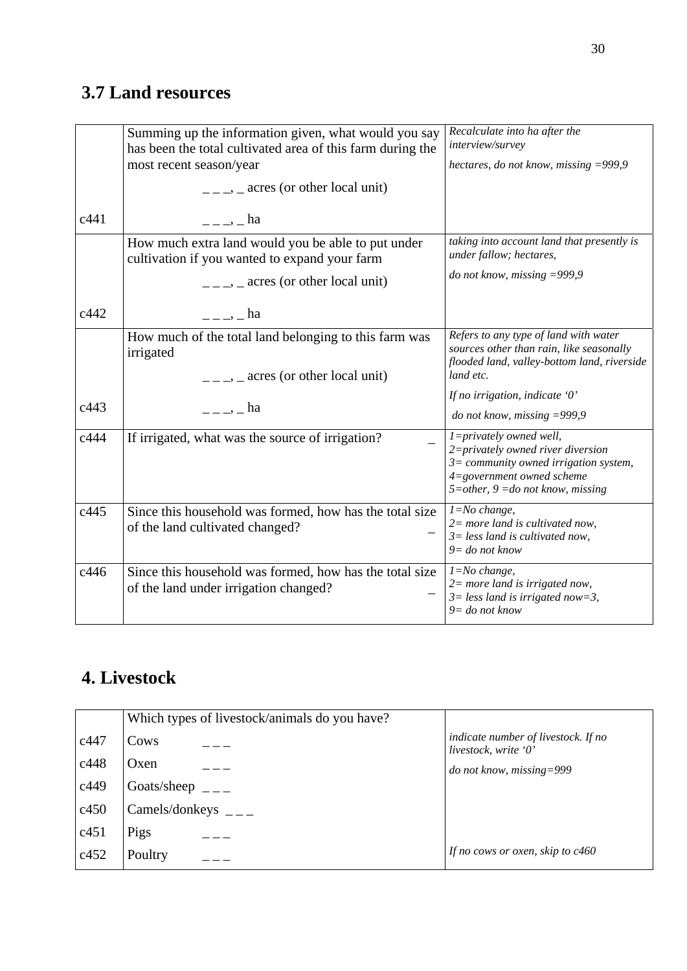# **3.7 Land resources**

|      | Summing up the information given, what would you say<br>has been the total cultivated area of this farm during the<br>most recent season/year<br>$\frac{1}{2}$ = $\frac{1}{2}$ = acres (or other local unit) | Recalculate into ha after the<br>interview/survey<br>hectares, do not know, missing $=$ 999,9                                                                                 |
|------|--------------------------------------------------------------------------------------------------------------------------------------------------------------------------------------------------------------|-------------------------------------------------------------------------------------------------------------------------------------------------------------------------------|
| c441 | $  \frac{1}{2}$ ha                                                                                                                                                                                           |                                                                                                                                                                               |
|      | How much extra land would you be able to put under<br>cultivation if you wanted to expand your farm                                                                                                          | taking into account land that presently is<br>under fallow; hectares,                                                                                                         |
|      | $\frac{1}{1}$ , acres (or other local unit)                                                                                                                                                                  | do not know, missing $=$ 999,9                                                                                                                                                |
| c442 | $  \frac{1}{2}$ ha                                                                                                                                                                                           |                                                                                                                                                                               |
|      | How much of the total land belonging to this farm was<br>irrigated<br>$\frac{1}{1}$ = $\frac{1}{2}$ = acres (or other local unit)                                                                            | Refers to any type of land with water<br>sources other than rain, like seasonally<br>flooded land, valley-bottom land, riverside<br>land etc.                                 |
| c443 | $\frac{1}{2}$ $\frac{1}{2}$ $\frac{1}{2}$ $\frac{1}{2}$ $\frac{1}{2}$ $\frac{1}{2}$ $\frac{1}{2}$ $\frac{1}{2}$ $\frac{1}{2}$                                                                                | If no irrigation, indicate $0$ '<br>do not know, missing $=$ 999,9                                                                                                            |
| c444 | If irrigated, what was the source of irrigation?                                                                                                                                                             | 1=privately owned well,<br>2=privately owned river diversion<br>$3=$ community owned irrigation system,<br>4=government owned scheme<br>$5$ =other, $9$ =do not know, missing |
| c445 | Since this household was formed, how has the total size<br>of the land cultivated changed?                                                                                                                   | $1 = No$ change,<br>$2=$ more land is cultivated now,<br>$3 = less$ land is cultivated now,<br>$9 = do not know$                                                              |
| c446 | Since this household was formed, how has the total size<br>of the land under irrigation changed?                                                                                                             | $1 = No$ change,<br>$2=$ more land is irrigated now,<br>$3 = less$ land is irrigated now=3,<br>$9 =$ do not know                                                              |

# **4. Livestock**

|      | Which types of livestock/animals do you have? |                                                             |
|------|-----------------------------------------------|-------------------------------------------------------------|
| c447 | Cows                                          | indicate number of livestock. If no<br>livestock, write '0' |
| c448 | Oxen                                          | $do$ not know, missing=999                                  |
| c449 | Goats/sheep                                   |                                                             |
| c450 | Camels/donkeys                                |                                                             |
| c451 | Pigs                                          |                                                             |
| c452 | Poultry                                       | If no cows or oxen, skip to $c460$                          |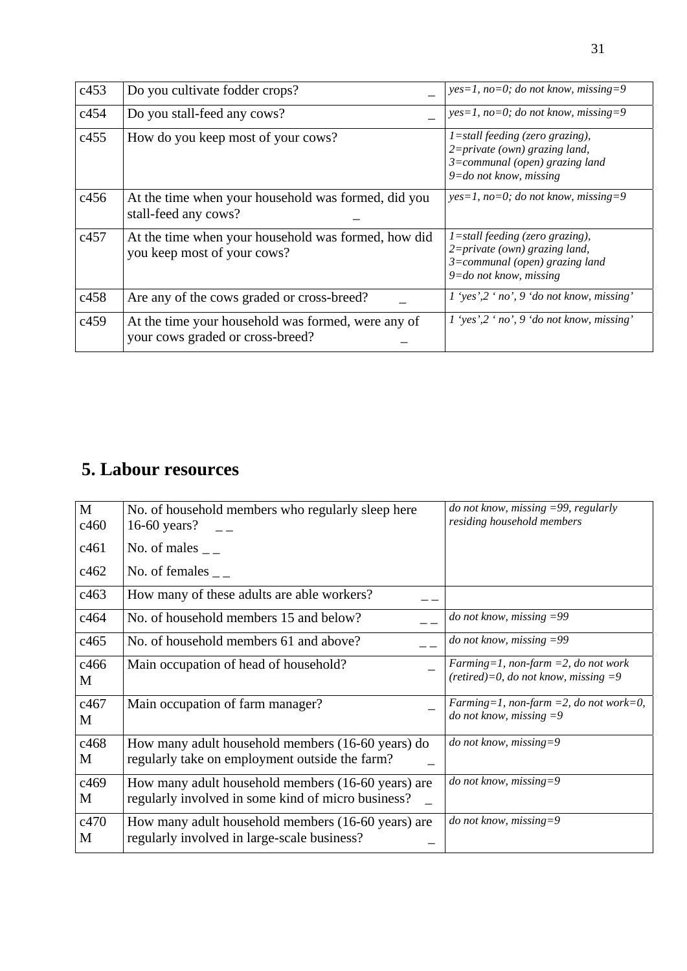| c453 | Do you cultivate fodder crops?                                                         | $yes=1, no=0; do not know, missing=9$                                                                                                     |
|------|----------------------------------------------------------------------------------------|-------------------------------------------------------------------------------------------------------------------------------------------|
| c454 | Do you stall-feed any cows?                                                            | $yes=1, no=0; do not know, missing=9$                                                                                                     |
| c455 | How do you keep most of your cows?                                                     | $1 =$ stall feeding (zero grazing),<br>$2 = private (own)$ grazing land,<br>$3=command$ (open) grazing land<br>$9 = do$ not know, missing |
| c456 | At the time when your household was formed, did you<br>stall-feed any cows?            | $yes=1, no=0; do not know, missing=9$                                                                                                     |
| c457 | At the time when your household was formed, how did<br>you keep most of your cows?     | 1=stall feeding (zero grazing),<br>$2 = private (own)$ grazing land,<br>$3=command$ (open) grazing land<br>$9 =$ do not know, missing     |
| c458 | Are any of the cows graded or cross-breed?                                             | 1 'yes',2 'no', 9 'do not know, missing'                                                                                                  |
| c459 | At the time your household was formed, were any of<br>your cows graded or cross-breed? | $1$ 'yes', $2$ 'no', $9$ 'do not know, missing'                                                                                           |

# **5. Labour resources**

| M<br>c460 | No. of household members who regularly sleep here<br>16-60 years?                                        | do not know, missing $=$ 99, regularly<br>residing household members          |
|-----------|----------------------------------------------------------------------------------------------------------|-------------------------------------------------------------------------------|
| c461      | No. of males $\overline{\phantom{a}}$                                                                    |                                                                               |
| c462      | No. of females                                                                                           |                                                                               |
| c463      | How many of these adults are able workers?                                                               |                                                                               |
| c464      | No. of household members 15 and below?                                                                   | do not know, missing $=99$                                                    |
| c465      | No. of household members 61 and above?                                                                   | do not know, missing $=99$                                                    |
| c466<br>M | Main occupation of head of household?                                                                    | Farming=1, non-farm =2, do not work<br>(retired)=0, do not know, missing $=9$ |
| c467<br>М | Main occupation of farm manager?                                                                         | Farming=1, non-farm =2, do not work=0,<br>do not know, missing $=9$           |
| c468<br>M | How many adult household members (16-60 years) do<br>regularly take on employment outside the farm?      | do not know, missing=9                                                        |
| c469<br>M | How many adult household members (16-60 years) are<br>regularly involved in some kind of micro business? | do not know, missing=9                                                        |
| c470<br>M | How many adult household members (16-60 years) are<br>regularly involved in large-scale business?        | do not know, missing=9                                                        |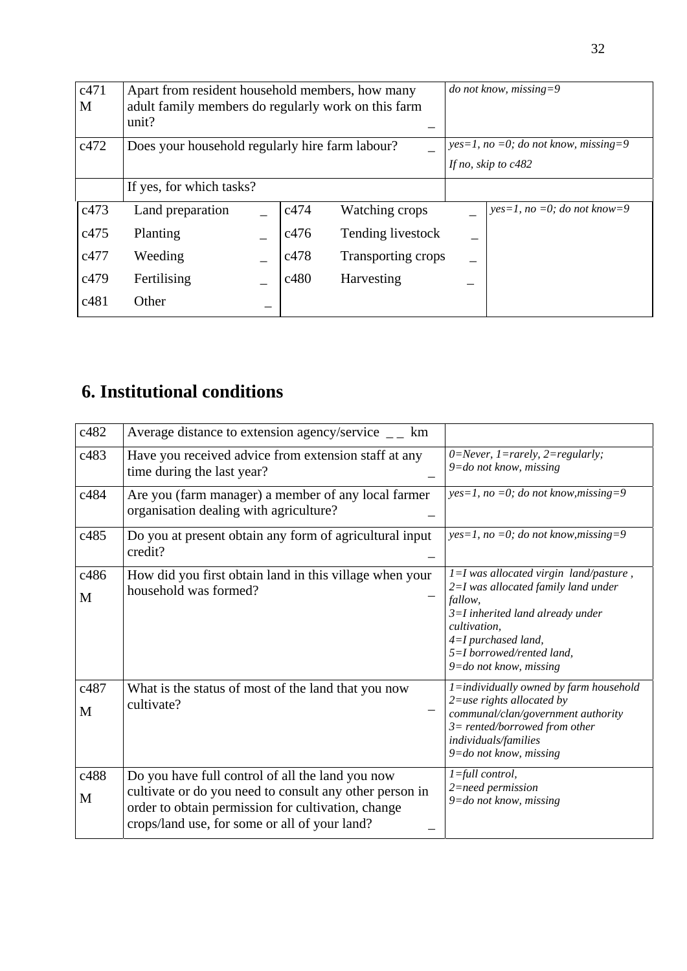| c471<br>M | Apart from resident household members, how many<br>adult family members do regularly work on this farm<br>unit? |  |      |                                         | <i>do</i> not know, missing=9  |
|-----------|-----------------------------------------------------------------------------------------------------------------|--|------|-----------------------------------------|--------------------------------|
| c472      | Does your household regularly hire farm labour?                                                                 |  |      | $yes=1$ , no =0; do not know, missing=9 |                                |
|           |                                                                                                                 |  |      | If no, skip to $c482$                   |                                |
|           | If yes, for which tasks?                                                                                        |  |      |                                         |                                |
| c473      | Land preparation                                                                                                |  | c474 | Watching crops                          | $yes=1$ , no =0; do not know=9 |
| c475      | Planting                                                                                                        |  | c476 | Tending livestock                       |                                |
| c477      | Weeding                                                                                                         |  | c478 | Transporting crops                      |                                |
| c479      | Fertilising                                                                                                     |  | c480 | Harvesting                              |                                |
| c481      | Other                                                                                                           |  |      |                                         |                                |

# **6. Institutional conditions**

| c482      | Average distance to extension agency/service $\qquad$ = $\qquad$ km                                                                                                                                                |                                                                                                                                                                                                                                        |
|-----------|--------------------------------------------------------------------------------------------------------------------------------------------------------------------------------------------------------------------|----------------------------------------------------------------------------------------------------------------------------------------------------------------------------------------------------------------------------------------|
| c483      | Have you received advice from extension staff at any<br>time during the last year?                                                                                                                                 | 0=Never, 1=rarely, 2=regularly;<br>$9 =$ do not know, missing                                                                                                                                                                          |
| c484      | Are you (farm manager) a member of any local farmer<br>organisation dealing with agriculture?                                                                                                                      | $yes=1$ , no =0; do not know, missing=9                                                                                                                                                                                                |
| c485      | Do you at present obtain any form of agricultural input<br>credit?                                                                                                                                                 | $yes=1$ , no =0; do not know, missing=9                                                                                                                                                                                                |
| c486<br>M | How did you first obtain land in this village when your<br>household was formed?                                                                                                                                   | $l = I$ was allocated virgin land/pasture,<br>2=I was allocated family land under<br>fallow,<br>$3=I$ inherited land already under<br>cultivation,<br>$4=I$ purchased land,<br>5=I borrowed/rented land,<br>$9 = do$ not know, missing |
| c487<br>M | What is the status of most of the land that you now<br>cultivate?                                                                                                                                                  | $l =$ individually owned by farm household<br>$2 =$ use rights allocated by<br>communal/clan/government authority<br>$3$ = rented/borrowed from other<br>individuals/families<br>9=do not know, missing                                |
| c488<br>M | Do you have full control of all the land you now<br>cultivate or do you need to consult any other person in<br>order to obtain permission for cultivation, change<br>crops/land use, for some or all of your land? | $l = full control,$<br>2=need permission<br>$9 = do$ not know, missing                                                                                                                                                                 |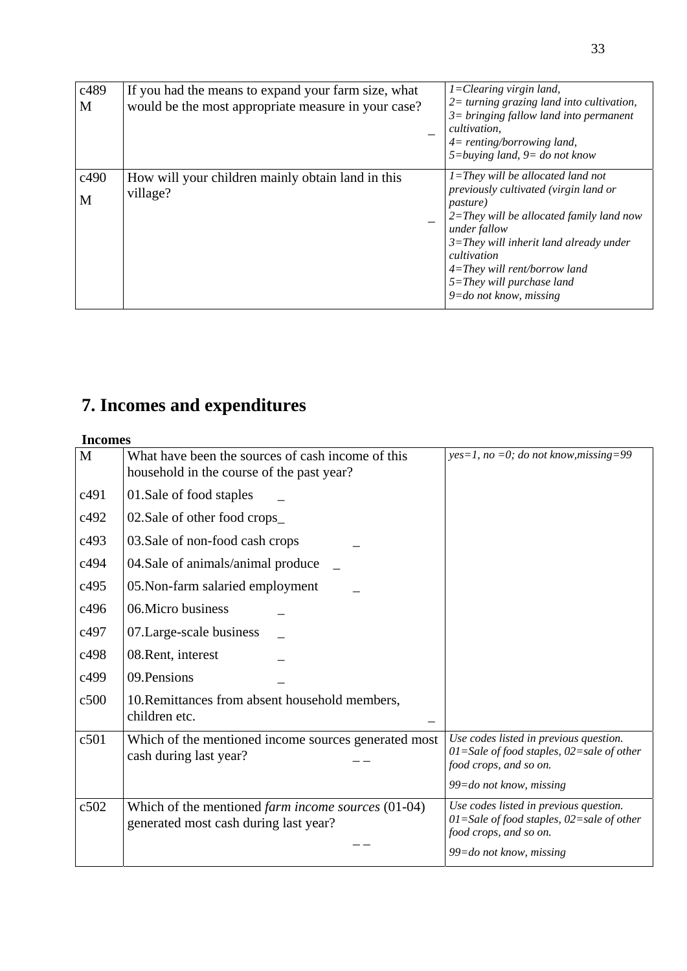| c489<br>M | If you had the means to expand your farm size, what<br>would be the most appropriate measure in your case? | $I = Clearing \, virgin \, land,$<br>$2 =$ turning grazing land into cultivation,<br>$3 =$ bringing fallow land into permanent<br>cultivation,<br>$4=$ renting/borrowing land,<br>$5 = b$ uying land, $9 = do$ not know                                                                                                       |
|-----------|------------------------------------------------------------------------------------------------------------|-------------------------------------------------------------------------------------------------------------------------------------------------------------------------------------------------------------------------------------------------------------------------------------------------------------------------------|
| c490<br>M | How will your children mainly obtain land in this<br>village?                                              | $1 =$ They will be allocated land not<br>previously cultivated (virgin land or<br><i>pasture</i> )<br>$2 =$ They will be allocated family land now<br>under fallow<br>$3 =$ They will inherit land already under<br>cultivation<br>$4=$ They will rent/borrow land<br>$5 =$ They will purchase land<br>9=do not know, missing |

# **7. Incomes and expenditures**

#### **Incomes**

| M    | What have been the sources of cash income of this                                                  | $yes=1$ , no =0; do not know, missing=99                                                                              |
|------|----------------------------------------------------------------------------------------------------|-----------------------------------------------------------------------------------------------------------------------|
|      | household in the course of the past year?                                                          |                                                                                                                       |
| c491 | 01.Sale of food staples                                                                            |                                                                                                                       |
| c492 | 02. Sale of other food crops                                                                       |                                                                                                                       |
| c493 | 03. Sale of non-food cash crops                                                                    |                                                                                                                       |
| c494 | 04. Sale of animals/animal produce                                                                 |                                                                                                                       |
| c495 | 05. Non-farm salaried employment                                                                   |                                                                                                                       |
| c496 | 06. Micro business                                                                                 |                                                                                                                       |
| c497 | 07. Large-scale business                                                                           |                                                                                                                       |
| c498 | 08. Rent, interest                                                                                 |                                                                                                                       |
| c499 | 09. Pensions                                                                                       |                                                                                                                       |
| c500 | 10. Remittances from absent household members,<br>children etc.                                    |                                                                                                                       |
| c501 | Which of the mentioned income sources generated most<br>cash during last year?                     | Use codes listed in previous question.<br>$01 =$ Sale of food staples, $02 =$ sale of other<br>food crops, and so on. |
|      |                                                                                                    | $99 =$ do not know, missing                                                                                           |
| c502 | Which of the mentioned <i>farm income sources</i> (01-04)<br>generated most cash during last year? | Use codes listed in previous question.<br>$01 =$ Sale of food staples, $02 =$ sale of other<br>food crops, and so on. |
|      |                                                                                                    | $99 =$ do not know, missing                                                                                           |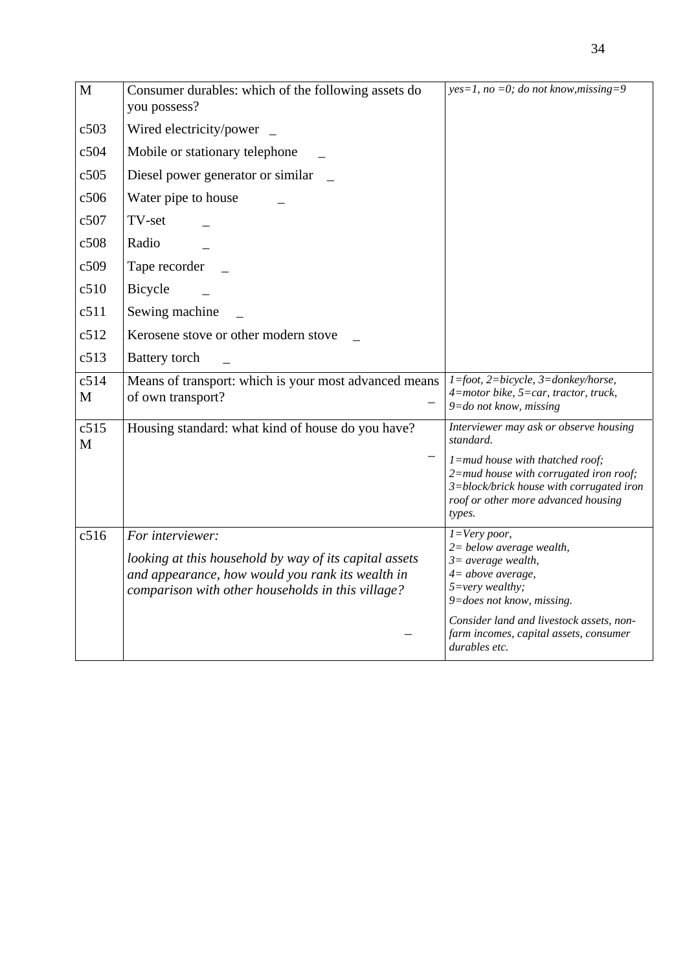| M         | Consumer durables: which of the following assets do<br>you possess?                                                                                                                 | $yes=1$ , no =0; do not know, missing=9                                                                                                                                                                                                                     |
|-----------|-------------------------------------------------------------------------------------------------------------------------------------------------------------------------------------|-------------------------------------------------------------------------------------------------------------------------------------------------------------------------------------------------------------------------------------------------------------|
| c503      | Wired electricity/power                                                                                                                                                             |                                                                                                                                                                                                                                                             |
| c504      | Mobile or stationary telephone                                                                                                                                                      |                                                                                                                                                                                                                                                             |
| c505      | Diesel power generator or similar                                                                                                                                                   |                                                                                                                                                                                                                                                             |
| c506      | Water pipe to house                                                                                                                                                                 |                                                                                                                                                                                                                                                             |
| c507      | TV-set                                                                                                                                                                              |                                                                                                                                                                                                                                                             |
| c508      | Radio                                                                                                                                                                               |                                                                                                                                                                                                                                                             |
| c509      | Tape recorder                                                                                                                                                                       |                                                                                                                                                                                                                                                             |
| c510      | Bicycle                                                                                                                                                                             |                                                                                                                                                                                                                                                             |
| c511      | Sewing machine                                                                                                                                                                      |                                                                                                                                                                                                                                                             |
| c512      | Kerosene stove or other modern stove                                                                                                                                                |                                                                                                                                                                                                                                                             |
| c513      | <b>Battery</b> torch                                                                                                                                                                |                                                                                                                                                                                                                                                             |
| c514<br>M | Means of transport: which is your most advanced means<br>of own transport?                                                                                                          | 1=foot, 2=bicycle, 3=donkey/horse,<br>4=motor bike, 5=car, tractor, truck,<br>$9 =$ do not know, missing                                                                                                                                                    |
| c515<br>M | Housing standard: what kind of house do you have?                                                                                                                                   | Interviewer may ask or observe housing<br>standard.                                                                                                                                                                                                         |
|           |                                                                                                                                                                                     | $l$ =mud house with thatched roof;<br>$2$ =mud house with corrugated iron roof;<br>3=block/brick house with corrugated iron<br>roof or other more advanced housing<br>types.                                                                                |
| c516      | For interviewer:<br>looking at this household by way of its capital assets<br>and appearance, how would you rank its wealth in<br>comparison with other households in this village? | $I = Very$ poor,<br>$2 = below average wealth,$<br>$3 = average wealth,$<br>4= above average,<br>$5 = very \, wealthy;$<br>9=does not know, missing.<br>Consider land and livestock assets, non-<br>farm incomes, capital assets, consumer<br>durables etc. |

34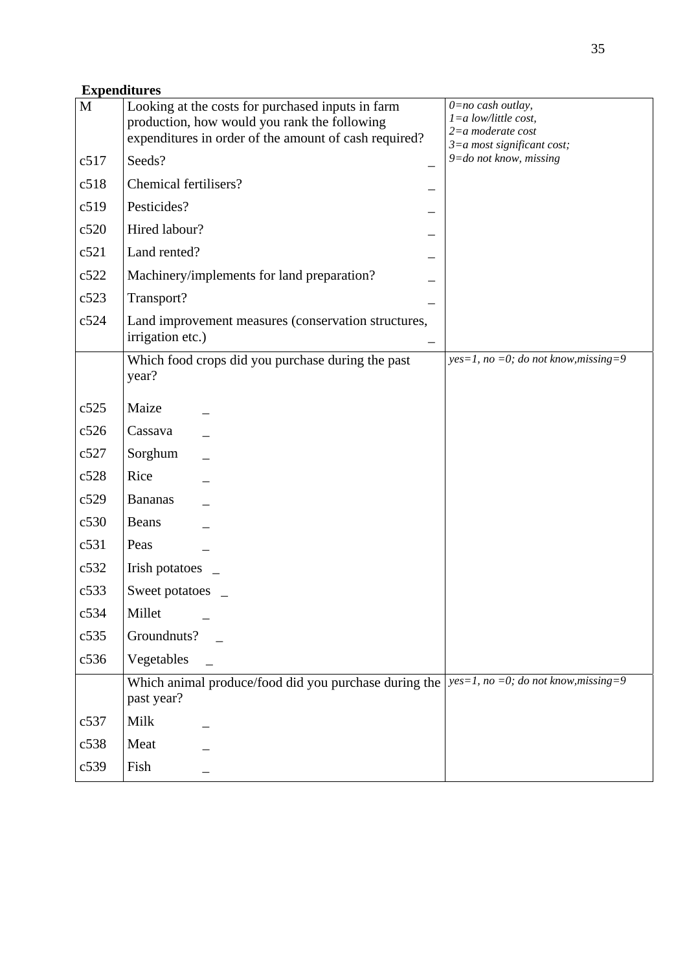## **Expenditures**

| $\mathbf M$ | Looking at the costs for purchased inputs in farm                       | $0=no$ cash outlay,<br>$1 = a$ low/little cost, |
|-------------|-------------------------------------------------------------------------|-------------------------------------------------|
|             | production, how would you rank the following                            | $2=a$ moderate cost                             |
|             | expenditures in order of the amount of cash required?                   | $3=a$ most significant cost;                    |
| c517        | Seeds?                                                                  | $9 = do$ not know, missing                      |
| c518        | Chemical fertilisers?                                                   |                                                 |
| c519        | Pesticides?                                                             |                                                 |
| c520        | Hired labour?                                                           |                                                 |
| c521        | Land rented?                                                            |                                                 |
| c522        | Machinery/implements for land preparation?                              |                                                 |
| c523        | Transport?                                                              |                                                 |
| c524        | Land improvement measures (conservation structures,<br>irrigation etc.) |                                                 |
|             | Which food crops did you purchase during the past<br>year?              | $yes=1$ , no =0; do not know, missing=9         |
| c525        | Maize                                                                   |                                                 |
| c526        | Cassava                                                                 |                                                 |
| c527        | Sorghum                                                                 |                                                 |
| c528        | Rice                                                                    |                                                 |
| c529        | <b>Bananas</b>                                                          |                                                 |
| c530        | <b>Beans</b>                                                            |                                                 |
| c531        | Peas                                                                    |                                                 |
| c532        | Irish potatoes                                                          |                                                 |
| c533        | Sweet potatoes                                                          |                                                 |
| c534        | Millet                                                                  |                                                 |
| c535        | Groundnuts?                                                             |                                                 |
| c536        | Vegetables                                                              |                                                 |
|             | Which animal produce/food did you purchase during the<br>past year?     | $yes=1$ , no =0; do not know, missing=9         |
| c537        | Milk                                                                    |                                                 |
| c538        | Meat                                                                    |                                                 |
| c539        | Fish                                                                    |                                                 |
|             |                                                                         |                                                 |